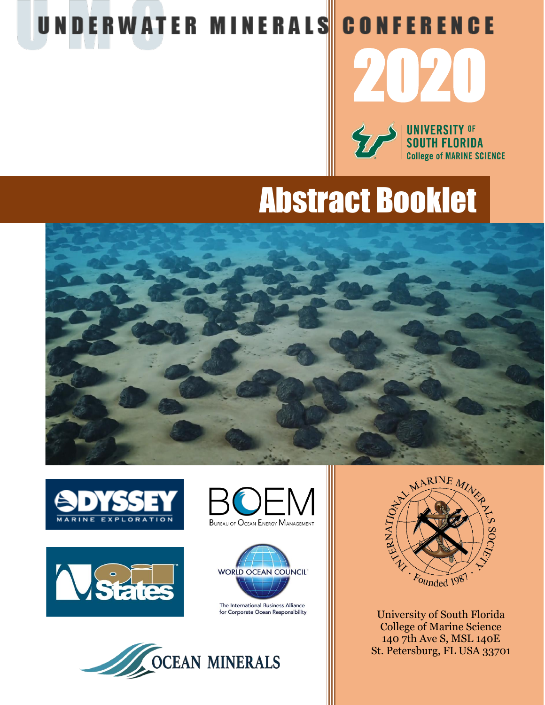# UNDERWATER MINERALS CONFERENCE

**UNIVERSITY OF SOUTH FLORIDA College of MARINE SCIENCE** 

2020

Abstract Booklet











The International Business Alliance for Corporate Ocean Responsibility





University of South Florida College of Marine Science 140 7th Ave S, MSL 140E St. Petersburg, FL USA 33701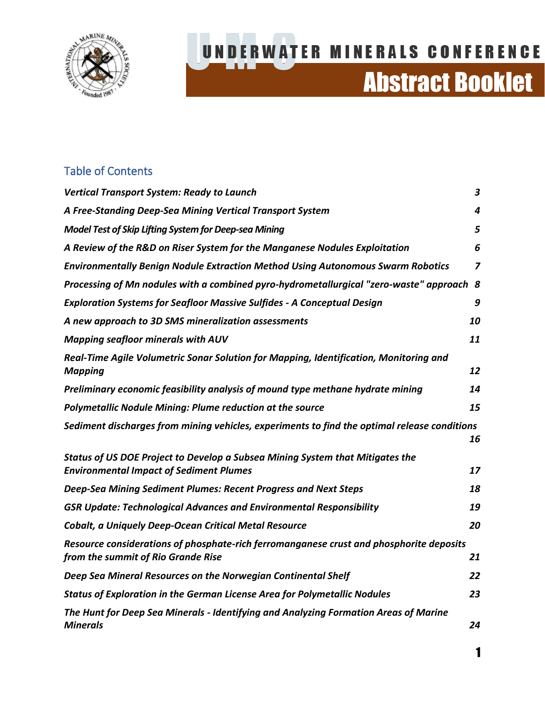

### Table of Contents

| <b>Vertical Transport System: Ready to Launch</b>                                                                               | $\boldsymbol{3}$ |
|---------------------------------------------------------------------------------------------------------------------------------|------------------|
| A Free-Standing Deep-Sea Mining Vertical Transport System                                                                       | 4                |
| <b>Model Test of Skip Lifting System for Deep-sea Mining</b>                                                                    | 5                |
| A Review of the R&D on Riser System for the Manganese Nodules Exploitation                                                      | 6                |
| <b>Environmentally Benign Nodule Extraction Method Using Autonomous Swarm Robotics</b>                                          | 7                |
| Processing of Mn nodules with a combined pyro-hydrometallurgical "zero-waste" approach 8                                        |                  |
| <b>Exploration Systems for Seafloor Massive Sulfides - A Conceptual Design</b>                                                  | 9                |
| A new approach to 3D SMS mineralization assessments                                                                             | 10               |
| <b>Mapping seafloor minerals with AUV</b>                                                                                       | 11               |
| Real-Time Agile Volumetric Sonar Solution for Mapping, Identification, Monitoring and<br><b>Mapping</b>                         | 12               |
| Preliminary economic feasibility analysis of mound type methane hydrate mining                                                  | 14               |
| Polymetallic Nodule Mining: Plume reduction at the source                                                                       | 15               |
| Sediment discharges from mining vehicles, experiments to find the optimal release conditions                                    | 16               |
| Status of US DOE Project to Develop a Subsea Mining System that Mitigates the<br><b>Environmental Impact of Sediment Plumes</b> | 17               |
| Deep-Sea Mining Sediment Plumes: Recent Progress and Next Steps                                                                 | 18               |
| <b>GSR Update: Technological Advances and Environmental Responsibility</b>                                                      | 19               |
| Cobalt, a Uniquely Deep-Ocean Critical Metal Resource                                                                           | 20               |
| Resource considerations of phosphate-rich ferromanganese crust and phosphorite deposits<br>from the summit of Rio Grande Rise   | 21               |
| Deep Sea Mineral Resources on the Norwegian Continental Shelf                                                                   | 22               |
| <b>Status of Exploration in the German License Area for Polymetallic Nodules</b>                                                | 23               |
| The Hunt for Deep Sea Minerals - Identifying and Analyzing Formation Areas of Marine<br><b>Minerals</b>                         | 24               |

1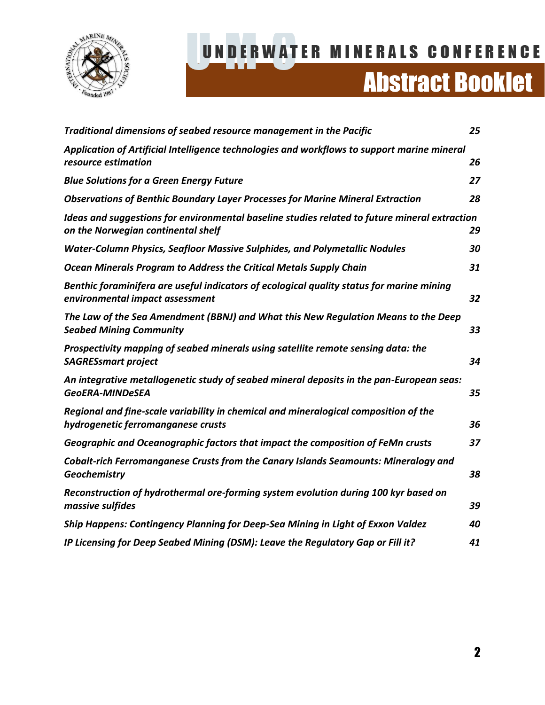

# UNDERWATER MINERALS CONFERENCE

# Abstract Booklet

| Traditional dimensions of seabed resource management in the Pacific                                                                 | 25 |
|-------------------------------------------------------------------------------------------------------------------------------------|----|
| Application of Artificial Intelligence technologies and workflows to support marine mineral<br>resource estimation                  | 26 |
| <b>Blue Solutions for a Green Energy Future</b>                                                                                     | 27 |
| <b>Observations of Benthic Boundary Layer Processes for Marine Mineral Extraction</b>                                               | 28 |
| Ideas and suggestions for environmental baseline studies related to future mineral extraction<br>on the Norwegian continental shelf | 29 |
| <b>Water-Column Physics, Seafloor Massive Sulphides, and Polymetallic Nodules</b>                                                   | 30 |
| Ocean Minerals Program to Address the Critical Metals Supply Chain                                                                  | 31 |
| Benthic foraminifera are useful indicators of ecological quality status for marine mining<br>environmental impact assessment        | 32 |
| The Law of the Sea Amendment (BBNJ) and What this New Regulation Means to the Deep<br><b>Seabed Mining Community</b>                | 33 |
| Prospectivity mapping of seabed minerals using satellite remote sensing data: the<br><b>SAGRESsmart project</b>                     | 34 |
| An integrative metallogenetic study of seabed mineral deposits in the pan-European seas:<br><b>GeoERA-MINDeSEA</b>                  | 35 |
| Regional and fine-scale variability in chemical and mineralogical composition of the<br>hydrogenetic ferromanganese crusts          | 36 |
| Geographic and Oceanographic factors that impact the composition of FeMn crusts                                                     | 37 |
| Cobalt-rich Ferromanganese Crusts from the Canary Islands Seamounts: Mineralogy and<br>Geochemistry                                 | 38 |
| Reconstruction of hydrothermal ore-forming system evolution during 100 kyr based on<br>massive sulfides                             | 39 |
| Ship Happens: Contingency Planning for Deep-Sea Mining in Light of Exxon Valdez                                                     | 40 |
| IP Licensing for Deep Seabed Mining (DSM): Leave the Regulatory Gap or Fill it?                                                     | 41 |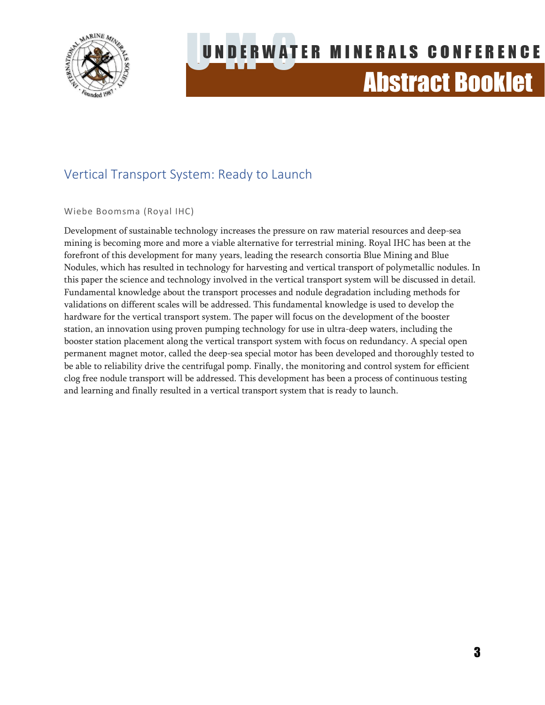

### <span id="page-3-0"></span>Vertical Transport System: Ready to Launch

#### Wiebe Boomsma (Royal IHC)

Development of sustainable technology increases the pressure on raw material resources and deep-sea mining is becoming more and more a viable alternative for terrestrial mining. Royal IHC has been at the forefront of this development for many years, leading the research consortia Blue Mining and Blue Nodules, which has resulted in technology for harvesting and vertical transport of polymetallic nodules. In this paper the science and technology involved in the vertical transport system will be discussed in detail. Fundamental knowledge about the transport processes and nodule degradation including methods for validations on different scales will be addressed. This fundamental knowledge is used to develop the hardware for the vertical transport system. The paper will focus on the development of the booster station, an innovation using proven pumping technology for use in ultra-deep waters, including the booster station placement along the vertical transport system with focus on redundancy. A special open permanent magnet motor, called the deep-sea special motor has been developed and thoroughly tested to be able to reliability drive the centrifugal pomp. Finally, the monitoring and control system for efficient clog free nodule transport will be addressed. This development has been a process of continuous testing and learning and finally resulted in a vertical transport system that is ready to launch.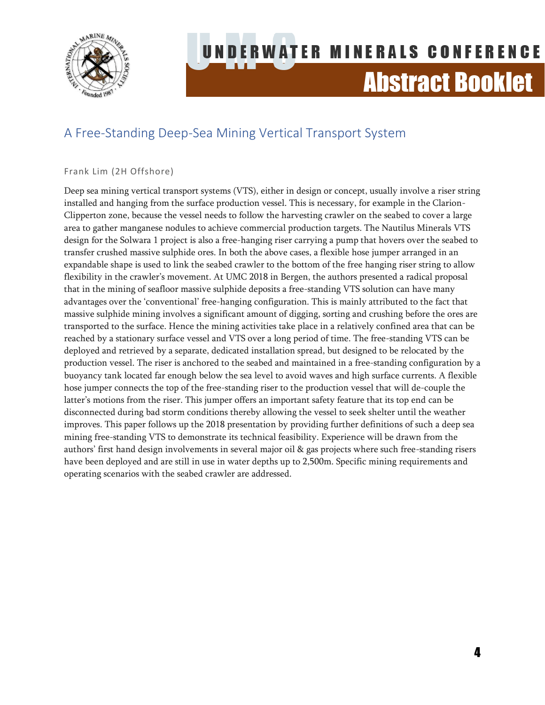

### <span id="page-4-0"></span>A Free-Standing Deep-Sea Mining Vertical Transport System

#### Frank Lim (2H Offshore)

Deep sea mining vertical transport systems (VTS), either in design or concept, usually involve a riser string installed and hanging from the surface production vessel. This is necessary, for example in the Clarion-Clipperton zone, because the vessel needs to follow the harvesting crawler on the seabed to cover a large area to gather manganese nodules to achieve commercial production targets. The Nautilus Minerals VTS design for the Solwara 1 project is also a free-hanging riser carrying a pump that hovers over the seabed to transfer crushed massive sulphide ores. In both the above cases, a flexible hose jumper arranged in an expandable shape is used to link the seabed crawler to the bottom of the free hanging riser string to allow flexibility in the crawler's movement. At UMC 2018 in Bergen, the authors presented a radical proposal that in the mining of seafloor massive sulphide deposits a free-standing VTS solution can have many advantages over the 'conventional' free-hanging configuration. This is mainly attributed to the fact that massive sulphide mining involves a significant amount of digging, sorting and crushing before the ores are transported to the surface. Hence the mining activities take place in a relatively confined area that can be reached by a stationary surface vessel and VTS over a long period of time. The free-standing VTS can be deployed and retrieved by a separate, dedicated installation spread, but designed to be relocated by the production vessel. The riser is anchored to the seabed and maintained in a free-standing configuration by a buoyancy tank located far enough below the sea level to avoid waves and high surface currents. A flexible hose jumper connects the top of the free-standing riser to the production vessel that will de-couple the latter's motions from the riser. This jumper offers an important safety feature that its top end can be disconnected during bad storm conditions thereby allowing the vessel to seek shelter until the weather improves. This paper follows up the 2018 presentation by providing further definitions of such a deep sea mining free-standing VTS to demonstrate its technical feasibility. Experience will be drawn from the authors' first hand design involvements in several major oil & gas projects where such free-standing risers have been deployed and are still in use in water depths up to 2,500m. Specific mining requirements and operating scenarios with the seabed crawler are addressed.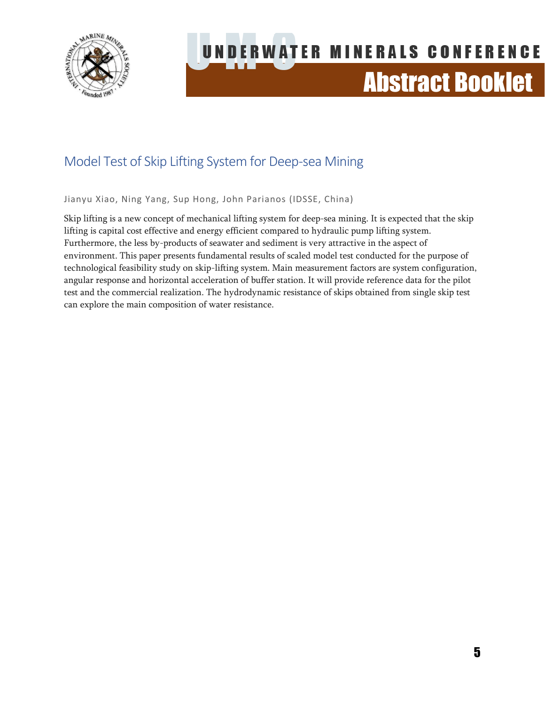

### <span id="page-5-0"></span>Model Test of Skip Lifting System for Deep-sea Mining

Jianyu Xiao, Ning Yang, Sup Hong, John Parianos (IDSSE, China)

Skip lifting is a new concept of mechanical lifting system for deep-sea mining. It is expected that the skip lifting is capital cost effective and energy efficient compared to hydraulic pump lifting system. Furthermore, the less by-products of seawater and sediment is very attractive in the aspect of environment. This paper presents fundamental results of scaled model test conducted for the purpose of technological feasibility study on skip-lifting system. Main measurement factors are system configuration, angular response and horizontal acceleration of buffer station. It will provide reference data for the pilot test and the commercial realization. The hydrodynamic resistance of skips obtained from single skip test can explore the main composition of water resistance.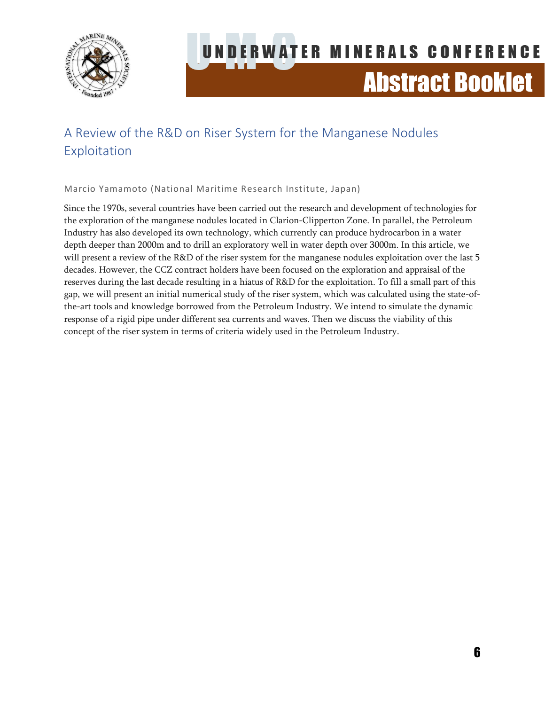

### <span id="page-6-0"></span>A Review of the R&D on Riser System for the Manganese Nodules Exploitation

Marcio Yamamoto (National Maritime Research Institute, Japan)

Since the 1970s, several countries have been carried out the research and development of technologies for the exploration of the manganese nodules located in Clarion-Clipperton Zone. In parallel, the Petroleum Industry has also developed its own technology, which currently can produce hydrocarbon in a water depth deeper than 2000m and to drill an exploratory well in water depth over 3000m. In this article, we will present a review of the R&D of the riser system for the manganese nodules exploitation over the last 5 decades. However, the CCZ contract holders have been focused on the exploration and appraisal of the reserves during the last decade resulting in a hiatus of R&D for the exploitation. To fill a small part of this gap, we will present an initial numerical study of the riser system, which was calculated using the state-ofthe-art tools and knowledge borrowed from the Petroleum Industry. We intend to simulate the dynamic response of a rigid pipe under different sea currents and waves. Then we discuss the viability of this concept of the riser system in terms of criteria widely used in the Petroleum Industry.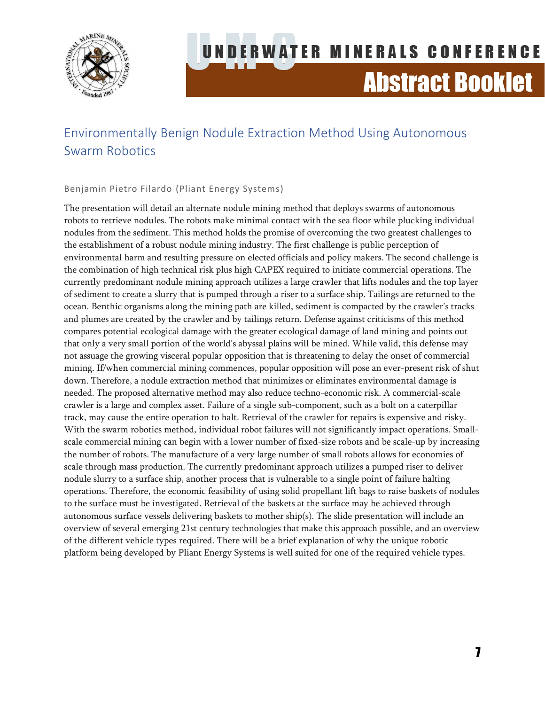

### <span id="page-7-0"></span>Environmentally Benign Nodule Extraction Method Using Autonomous Swarm Robotics

#### Benjamin Pietro Filardo (Pliant Energy Systems)

The presentation will detail an alternate nodule mining method that deploys swarms of autonomous robots to retrieve nodules. The robots make minimal contact with the sea floor while plucking individual nodules from the sediment. This method holds the promise of overcoming the two greatest challenges to the establishment of a robust nodule mining industry. The first challenge is public perception of environmental harm and resulting pressure on elected officials and policy makers. The second challenge is the combination of high technical risk plus high CAPEX required to initiate commercial operations. The currently predominant nodule mining approach utilizes a large crawler that lifts nodules and the top layer of sediment to create a slurry that is pumped through a riser to a surface ship. Tailings are returned to the ocean. Benthic organisms along the mining path are killed, sediment is compacted by the crawler's tracks and plumes are created by the crawler and by tailings return. Defense against criticisms of this method compares potential ecological damage with the greater ecological damage of land mining and points out that only a very small portion of the world's abyssal plains will be mined. While valid, this defense may not assuage the growing visceral popular opposition that is threatening to delay the onset of commercial mining. If/when commercial mining commences, popular opposition will pose an ever-present risk of shut down. Therefore, a nodule extraction method that minimizes or eliminates environmental damage is needed. The proposed alternative method may also reduce techno-economic risk. A commercial-scale crawler is a large and complex asset. Failure of a single sub-component, such as a bolt on a caterpillar track, may cause the entire operation to halt. Retrieval of the crawler for repairs is expensive and risky. With the swarm robotics method, individual robot failures will not significantly impact operations. Smallscale commercial mining can begin with a lower number of fixed-size robots and be scale-up by increasing the number of robots. The manufacture of a very large number of small robots allows for economies of scale through mass production. The currently predominant approach utilizes a pumped riser to deliver nodule slurry to a surface ship, another process that is vulnerable to a single point of failure halting operations. Therefore, the economic feasibility of using solid propellant lift bags to raise baskets of nodules to the surface must be investigated. Retrieval of the baskets at the surface may be achieved through autonomous surface vessels delivering baskets to mother ship(s). The slide presentation will include an overview of several emerging 21st century technologies that make this approach possible, and an overview of the different vehicle types required. There will be a brief explanation of why the unique robotic platform being developed by Pliant Energy Systems is well suited for one of the required vehicle types.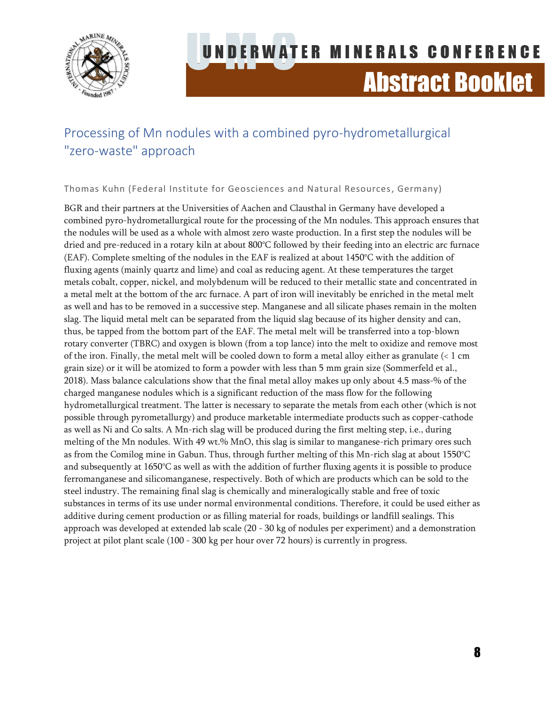

### <span id="page-8-0"></span>Processing of Mn nodules with a combined pyro-hydrometallurgical "zero-waste" approach

#### Thomas Kuhn (Federal Institute for Geosciences and Natural Resources, Germany)

BGR and their partners at the Universities of Aachen and Clausthal in Germany have developed a combined pyro-hydrometallurgical route for the processing of the Mn nodules. This approach ensures that the nodules will be used as a whole with almost zero waste production. In a first step the nodules will be dried and pre-reduced in a rotary kiln at about 800°C followed by their feeding into an electric arc furnace (EAF). Complete smelting of the nodules in the EAF is realized at about 1450°C with the addition of fluxing agents (mainly quartz and lime) and coal as reducing agent. At these temperatures the target metals cobalt, copper, nickel, and molybdenum will be reduced to their metallic state and concentrated in a metal melt at the bottom of the arc furnace. A part of iron will inevitably be enriched in the metal melt as well and has to be removed in a successive step. Manganese and all silicate phases remain in the molten slag. The liquid metal melt can be separated from the liquid slag because of its higher density and can, thus, be tapped from the bottom part of the EAF. The metal melt will be transferred into a top-blown rotary converter (TBRC) and oxygen is blown (from a top lance) into the melt to oxidize and remove most of the iron. Finally, the metal melt will be cooled down to form a metal alloy either as granulate (< 1 cm grain size) or it will be atomized to form a powder with less than 5 mm grain size (Sommerfeld et al., 2018). Mass balance calculations show that the final metal alloy makes up only about 4.5 mass-% of the charged manganese nodules which is a significant reduction of the mass flow for the following hydrometallurgical treatment. The latter is necessary to separate the metals from each other (which is not possible through pyrometallurgy) and produce marketable intermediate products such as copper-cathode as well as Ni and Co salts. A Mn-rich slag will be produced during the first melting step, i.e., during melting of the Mn nodules. With 49 wt.% MnO, this slag is similar to manganese-rich primary ores such as from the Comilog mine in Gabun. Thus, through further melting of this Mn-rich slag at about 1550°C and subsequently at 1650°C as well as with the addition of further fluxing agents it is possible to produce ferromanganese and silicomanganese, respectively. Both of which are products which can be sold to the steel industry. The remaining final slag is chemically and mineralogically stable and free of toxic substances in terms of its use under normal environmental conditions. Therefore, it could be used either as additive during cement production or as filling material for roads, buildings or landfill sealings. This approach was developed at extended lab scale (20 - 30 kg of nodules per experiment) and a demonstration project at pilot plant scale (100 - 300 kg per hour over 72 hours) is currently in progress.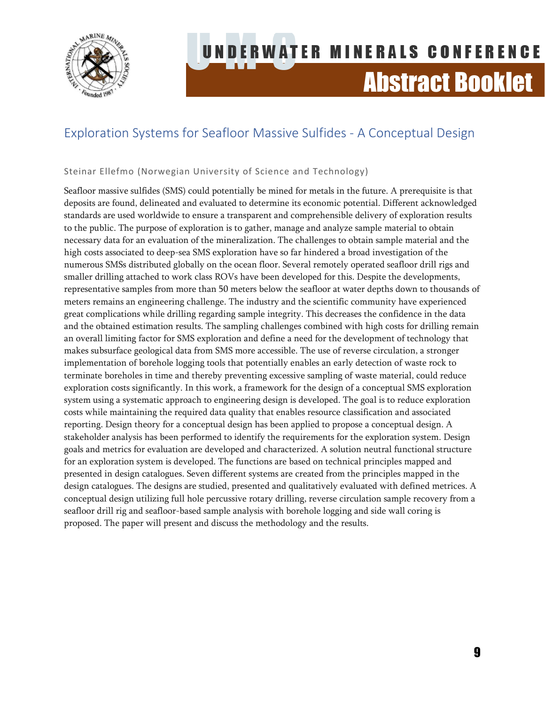

### <span id="page-9-0"></span>Exploration Systems for Seafloor Massive Sulfides - A Conceptual Design

#### Steinar Ellefmo (Norwegian University of Science and Technology)

Seafloor massive sulfides (SMS) could potentially be mined for metals in the future. A prerequisite is that deposits are found, delineated and evaluated to determine its economic potential. Different acknowledged standards are used worldwide to ensure a transparent and comprehensible delivery of exploration results to the public. The purpose of exploration is to gather, manage and analyze sample material to obtain necessary data for an evaluation of the mineralization. The challenges to obtain sample material and the high costs associated to deep-sea SMS exploration have so far hindered a broad investigation of the numerous SMSs distributed globally on the ocean floor. Several remotely operated seafloor drill rigs and smaller drilling attached to work class ROVs have been developed for this. Despite the developments, representative samples from more than 50 meters below the seafloor at water depths down to thousands of meters remains an engineering challenge. The industry and the scientific community have experienced great complications while drilling regarding sample integrity. This decreases the confidence in the data and the obtained estimation results. The sampling challenges combined with high costs for drilling remain an overall limiting factor for SMS exploration and define a need for the development of technology that makes subsurface geological data from SMS more accessible. The use of reverse circulation, a stronger implementation of borehole logging tools that potentially enables an early detection of waste rock to terminate boreholes in time and thereby preventing excessive sampling of waste material, could reduce exploration costs significantly. In this work, a framework for the design of a conceptual SMS exploration system using a systematic approach to engineering design is developed. The goal is to reduce exploration costs while maintaining the required data quality that enables resource classification and associated reporting. Design theory for a conceptual design has been applied to propose a conceptual design. A stakeholder analysis has been performed to identify the requirements for the exploration system. Design goals and metrics for evaluation are developed and characterized. A solution neutral functional structure for an exploration system is developed. The functions are based on technical principles mapped and presented in design catalogues. Seven different systems are created from the principles mapped in the design catalogues. The designs are studied, presented and qualitatively evaluated with defined metrices. A conceptual design utilizing full hole percussive rotary drilling, reverse circulation sample recovery from a seafloor drill rig and seafloor-based sample analysis with borehole logging and side wall coring is proposed. The paper will present and discuss the methodology and the results.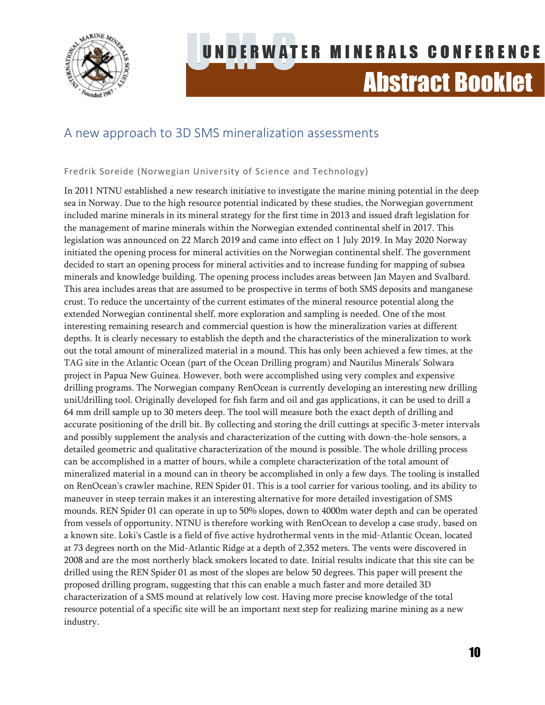

### <span id="page-10-0"></span>A new approach to 3D SMS mineralization assessments

#### Fredrik Soreide (Norwegian University of Science and Technology)

In 2011 NTNU established a new research initiative to investigate the marine mining potential in the deep sea in Norway. Due to the high resource potential indicated by these studies, the Norwegian government included marine minerals in its mineral strategy for the first time in 2013 and issued draft legislation for the management of marine minerals within the Norwegian extended continental shelf in 2017. This legislation was announced on 22 March 2019 and came into effect on 1 July 2019. In May 2020 Norway initiated the opening process for mineral activities on the Norwegian continental shelf. The government decided to start an opening process for mineral activities and to increase funding for mapping of subsea minerals and knowledge building. The opening process includes areas between Jan Mayen and Svalbard. This area includes areas that are assumed to be prospective in terms of both SMS deposits and manganese crust. To reduce the uncertainty of the current estimates of the mineral resource potential along the extended Norwegian continental shelf, more exploration and sampling is needed. One of the most interesting remaining research and commercial question is how the mineralization varies at different depths. It is clearly necessary to establish the depth and the characteristics of the mineralization to work out the total amount of mineralized material in a mound. This has only been achieved a few times, at the TAG site in the Atlantic Ocean (part of the Ocean Drilling program) and Nautilus Minerals' Solwara project in Papua New Guinea. However, both were accomplished using very complex and expensive drilling programs. The Norwegian company RenOcean is currently developing an interesting new drilling uniUdrilling tool. Originally developed for fish farm and oil and gas applications, it can be used to drill a 64 mm drill sample up to 30 meters deep. The tool will measure both the exact depth of drilling and accurate positioning of the drill bit. By collecting and storing the drill cuttings at specific 3-meter intervals and possibly supplement the analysis and characterization of the cutting with down-the-hole sensors, a detailed geometric and qualitative characterization of the mound is possible. The whole drilling process can be accomplished in a matter of hours, while a complete characterization of the total amount of mineralized material in a mound can in theory be accomplished in only a few days. The tooling is installed on RenOcean's crawler machine, REN Spider 01. This is a tool carrier for various tooling, and its ability to maneuver in steep terrain makes it an interesting alternative for more detailed investigation of SMS mounds. REN Spider 01 can operate in up to 50% slopes, down to 4000m water depth and can be operated from vessels of opportunity. NTNU is therefore working with RenOcean to develop a case study, based on a known site. Loki's Castle is a field of five active hydrothermal vents in the mid-Atlantic Ocean, located at 73 degrees north on the Mid-Atlantic Ridge at a depth of 2,352 meters. The vents were discovered in 2008 and are the most northerly black smokers located to date. Initial results indicate that this site can be drilled using the REN Spider 01 as most of the slopes are below 50 degrees. This paper will present the proposed drilling program, suggesting that this can enable a much faster and more detailed 3D characterization of a SMS mound at relatively low cost. Having more precise knowledge of the total resource potential of a specific site will be an important next step for realizing marine mining as a new industry.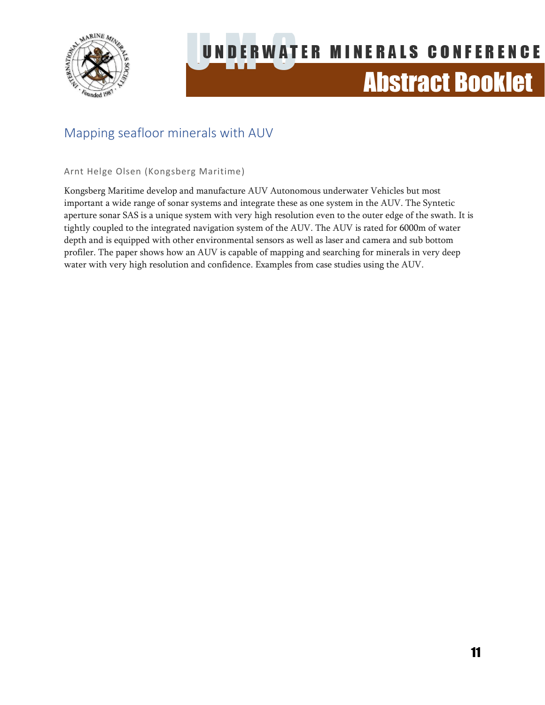

### <span id="page-11-0"></span>Mapping seafloor minerals with AUV

Arnt Helge Olsen (Kongsberg Maritime)

Kongsberg Maritime develop and manufacture AUV Autonomous underwater Vehicles but most important a wide range of sonar systems and integrate these as one system in the AUV. The Syntetic aperture sonar SAS is a unique system with very high resolution even to the outer edge of the swath. It is tightly coupled to the integrated navigation system of the AUV. The AUV is rated for 6000m of water depth and is equipped with other environmental sensors as well as laser and camera and sub bottom profiler. The paper shows how an AUV is capable of mapping and searching for minerals in very deep water with very high resolution and confidence. Examples from case studies using the AUV.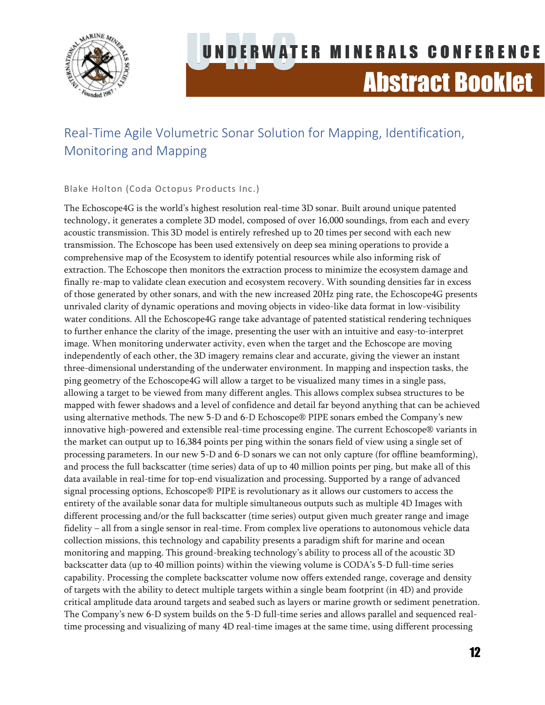

### <span id="page-12-0"></span>Real-Time Agile Volumetric Sonar Solution for Mapping, Identification, Monitoring and Mapping

#### Blake Holton (Coda Octopus Products Inc.)

The Echoscope4G is the world's highest resolution real-time 3D sonar. Built around unique patented technology, it generates a complete 3D model, composed of over 16,000 soundings, from each and every acoustic transmission. This 3D model is entirely refreshed up to 20 times per second with each new transmission. The Echoscope has been used extensively on deep sea mining operations to provide a comprehensive map of the Ecosystem to identify potential resources while also informing risk of extraction. The Echoscope then monitors the extraction process to minimize the ecosystem damage and finally re-map to validate clean execution and ecosystem recovery. With sounding densities far in excess of those generated by other sonars, and with the new increased 20Hz ping rate, the Echoscope4G presents unrivaled clarity of dynamic operations and moving objects in video-like data format in low-visibility water conditions. All the Echoscope4G range take advantage of patented statistical rendering techniques to further enhance the clarity of the image, presenting the user with an intuitive and easy-to-interpret image. When monitoring underwater activity, even when the target and the Echoscope are moving independently of each other, the 3D imagery remains clear and accurate, giving the viewer an instant three-dimensional understanding of the underwater environment. In mapping and inspection tasks, the ping geometry of the Echoscope4G will allow a target to be visualized many times in a single pass, allowing a target to be viewed from many different angles. This allows complex subsea structures to be mapped with fewer shadows and a level of confidence and detail far beyond anything that can be achieved using alternative methods. The new 5-D and 6-D Echoscope® PIPE sonars embed the Company's new innovative high-powered and extensible real-time processing engine. The current Echoscope® variants in the market can output up to 16,384 points per ping within the sonars field of view using a single set of processing parameters. In our new 5-D and 6-D sonars we can not only capture (for offline beamforming), and process the full backscatter (time series) data of up to 40 million points per ping, but make all of this data available in real-time for top-end visualization and processing. Supported by a range of advanced signal processing options, Echoscope® PIPE is revolutionary as it allows our customers to access the entirety of the available sonar data for multiple simultaneous outputs such as multiple 4D Images with different processing and/or the full backscatter (time series) output given much greater range and image fidelity – all from a single sensor in real-time. From complex live operations to autonomous vehicle data collection missions, this technology and capability presents a paradigm shift for marine and ocean monitoring and mapping. This ground-breaking technology's ability to process all of the acoustic 3D backscatter data (up to 40 million points) within the viewing volume is CODA's 5-D full-time series capability. Processing the complete backscatter volume now offers extended range, coverage and density of targets with the ability to detect multiple targets within a single beam footprint (in 4D) and provide critical amplitude data around targets and seabed such as layers or marine growth or sediment penetration. The Company's new 6-D system builds on the 5-D full-time series and allows parallel and sequenced realtime processing and visualizing of many 4D real-time images at the same time, using different processing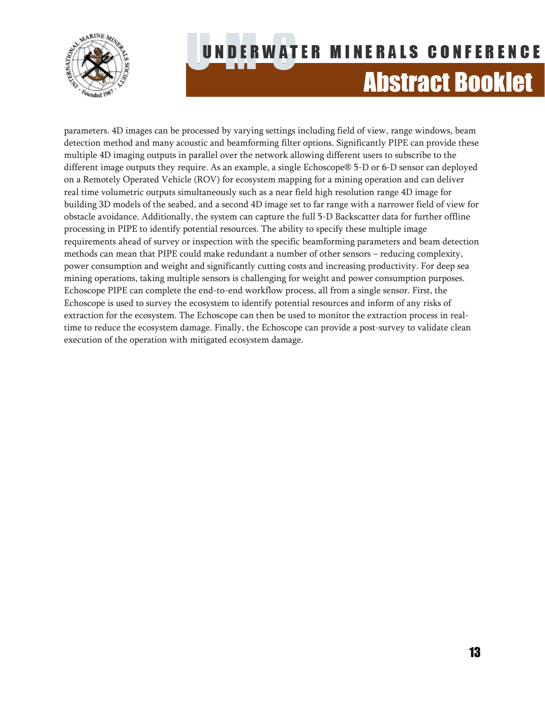

parameters. 4D images can be processed by varying settings including field of view, range windows, beam detection method and many acoustic and beamforming filter options. Significantly PIPE can provide these multiple 4D imaging outputs in parallel over the network allowing different users to subscribe to the different image outputs they require. As an example, a single Echoscope® 5-D or 6-D sensor can deployed on a Remotely Operated Vehicle (ROV) for ecosystem mapping for a mining operation and can deliver real time volumetric outputs simultaneously such as a near field high resolution range 4D image for building 3D models of the seabed, and a second 4D image set to far range with a narrower field of view for obstacle avoidance. Additionally, the system can capture the full 5-D Backscatter data for further offline processing in PIPE to identify potential resources. The ability to specify these multiple image requirements ahead of survey or inspection with the specific beamforming parameters and beam detection methods can mean that PIPE could make redundant a number of other sensors – reducing complexity, power consumption and weight and significantly cutting costs and increasing productivity. For deep sea mining operations, taking multiple sensors is challenging for weight and power consumption purposes. Echoscope PIPE can complete the end-to-end workflow process, all from a single sensor. First, the Echoscope is used to survey the ecosystem to identify potential resources and inform of any risks of extraction for the ecosystem. The Echoscope can then be used to monitor the extraction process in realtime to reduce the ecosystem damage. Finally, the Echoscope can provide a post-survey to validate clean execution of the operation with mitigated ecosystem damage.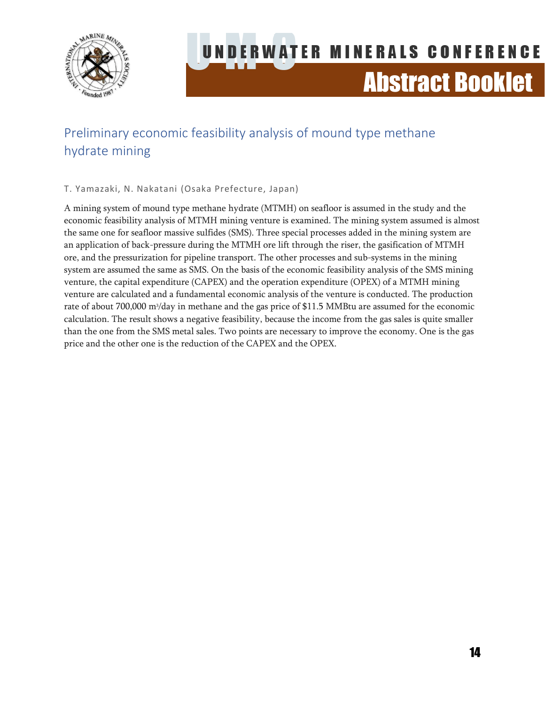

### <span id="page-14-0"></span>Preliminary economic feasibility analysis of mound type methane hydrate mining

#### T. Yamazaki, N. Nakatani (Osaka Prefecture, Japan)

A mining system of mound type methane hydrate (MTMH) on seafloor is assumed in the study and the economic feasibility analysis of MTMH mining venture is examined. The mining system assumed is almost the same one for seafloor massive sulfides (SMS). Three special processes added in the mining system are an application of back-pressure during the MTMH ore lift through the riser, the gasification of MTMH ore, and the pressurization for pipeline transport. The other processes and sub-systems in the mining system are assumed the same as SMS. On the basis of the economic feasibility analysis of the SMS mining venture, the capital expenditure (CAPEX) and the operation expenditure (OPEX) of a MTMH mining venture are calculated and a fundamental economic analysis of the venture is conducted. The production rate of about 700,000 m<sup>3</sup> /day in methane and the gas price of \$11.5 MMBtu are assumed for the economic calculation. The result shows a negative feasibility, because the income from the gas sales is quite smaller than the one from the SMS metal sales. Two points are necessary to improve the economy. One is the gas price and the other one is the reduction of the CAPEX and the OPEX.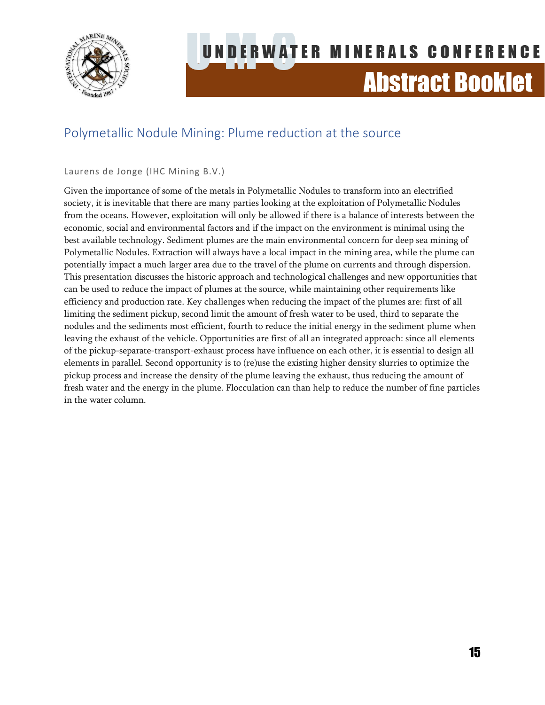

### <span id="page-15-0"></span>Polymetallic Nodule Mining: Plume reduction at the source

#### Laurens de Jonge (IHC Mining B.V.)

Given the importance of some of the metals in Polymetallic Nodules to transform into an electrified society, it is inevitable that there are many parties looking at the exploitation of Polymetallic Nodules from the oceans. However, exploitation will only be allowed if there is a balance of interests between the economic, social and environmental factors and if the impact on the environment is minimal using the best available technology. Sediment plumes are the main environmental concern for deep sea mining of Polymetallic Nodules. Extraction will always have a local impact in the mining area, while the plume can potentially impact a much larger area due to the travel of the plume on currents and through dispersion. This presentation discusses the historic approach and technological challenges and new opportunities that can be used to reduce the impact of plumes at the source, while maintaining other requirements like efficiency and production rate. Key challenges when reducing the impact of the plumes are: first of all limiting the sediment pickup, second limit the amount of fresh water to be used, third to separate the nodules and the sediments most efficient, fourth to reduce the initial energy in the sediment plume when leaving the exhaust of the vehicle. Opportunities are first of all an integrated approach: since all elements of the pickup-separate-transport-exhaust process have influence on each other, it is essential to design all elements in parallel. Second opportunity is to (re)use the existing higher density slurries to optimize the pickup process and increase the density of the plume leaving the exhaust, thus reducing the amount of fresh water and the energy in the plume. Flocculation can than help to reduce the number of fine particles in the water column.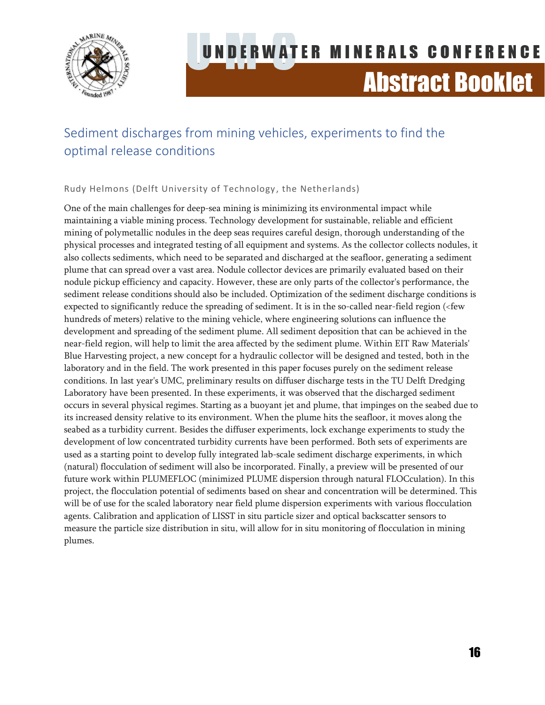

### <span id="page-16-0"></span>Sediment discharges from mining vehicles, experiments to find the optimal release conditions

#### Rudy Helmons (Delft University of Technology, the Netherlands)

One of the main challenges for deep-sea mining is minimizing its environmental impact while maintaining a viable mining process. Technology development for sustainable, reliable and efficient mining of polymetallic nodules in the deep seas requires careful design, thorough understanding of the physical processes and integrated testing of all equipment and systems. As the collector collects nodules, it also collects sediments, which need to be separated and discharged at the seafloor, generating a sediment plume that can spread over a vast area. Nodule collector devices are primarily evaluated based on their nodule pickup efficiency and capacity. However, these are only parts of the collector's performance, the sediment release conditions should also be included. Optimization of the sediment discharge conditions is expected to significantly reduce the spreading of sediment. It is in the so-called near-field region (<few hundreds of meters) relative to the mining vehicle, where engineering solutions can influence the development and spreading of the sediment plume. All sediment deposition that can be achieved in the near-field region, will help to limit the area affected by the sediment plume. Within EIT Raw Materials' Blue Harvesting project, a new concept for a hydraulic collector will be designed and tested, both in the laboratory and in the field. The work presented in this paper focuses purely on the sediment release conditions. In last year's UMC, preliminary results on diffuser discharge tests in the TU Delft Dredging Laboratory have been presented. In these experiments, it was observed that the discharged sediment occurs in several physical regimes. Starting as a buoyant jet and plume, that impinges on the seabed due to its increased density relative to its environment. When the plume hits the seafloor, it moves along the seabed as a turbidity current. Besides the diffuser experiments, lock exchange experiments to study the development of low concentrated turbidity currents have been performed. Both sets of experiments are used as a starting point to develop fully integrated lab-scale sediment discharge experiments, in which (natural) flocculation of sediment will also be incorporated. Finally, a preview will be presented of our future work within PLUMEFLOC (minimized PLUME dispersion through natural FLOCculation). In this project, the flocculation potential of sediments based on shear and concentration will be determined. This will be of use for the scaled laboratory near field plume dispersion experiments with various flocculation agents. Calibration and application of LISST in situ particle sizer and optical backscatter sensors to measure the particle size distribution in situ, will allow for in situ monitoring of flocculation in mining plumes.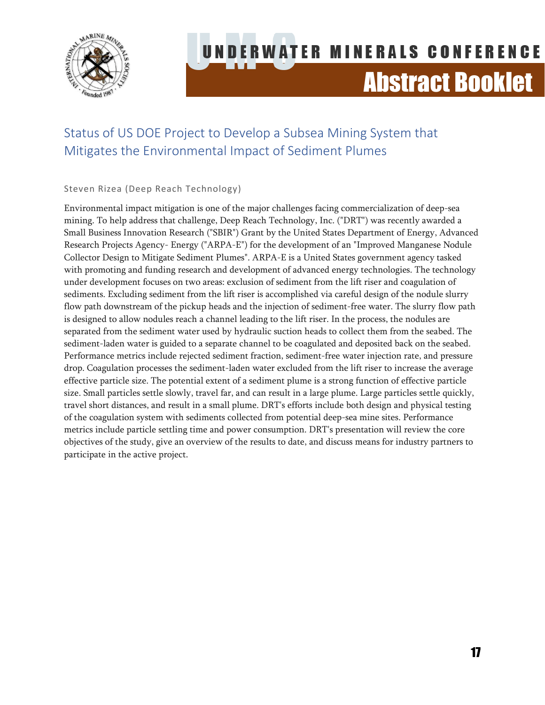

### <span id="page-17-0"></span>Status of US DOE Project to Develop a Subsea Mining System that Mitigates the Environmental Impact of Sediment Plumes

#### Steven Rizea (Deep Reach Technology)

Environmental impact mitigation is one of the major challenges facing commercialization of deep-sea mining. To help address that challenge, Deep Reach Technology, Inc. ("DRT") was recently awarded a Small Business Innovation Research ("SBIR") Grant by the United States Department of Energy, Advanced Research Projects Agency- Energy ("ARPA-E") for the development of an "Improved Manganese Nodule Collector Design to Mitigate Sediment Plumes". ARPA-E is a United States government agency tasked with promoting and funding research and development of advanced energy technologies. The technology under development focuses on two areas: exclusion of sediment from the lift riser and coagulation of sediments. Excluding sediment from the lift riser is accomplished via careful design of the nodule slurry flow path downstream of the pickup heads and the injection of sediment-free water. The slurry flow path is designed to allow nodules reach a channel leading to the lift riser. In the process, the nodules are separated from the sediment water used by hydraulic suction heads to collect them from the seabed. The sediment-laden water is guided to a separate channel to be coagulated and deposited back on the seabed. Performance metrics include rejected sediment fraction, sediment-free water injection rate, and pressure drop. Coagulation processes the sediment-laden water excluded from the lift riser to increase the average effective particle size. The potential extent of a sediment plume is a strong function of effective particle size. Small particles settle slowly, travel far, and can result in a large plume. Large particles settle quickly, travel short distances, and result in a small plume. DRT's efforts include both design and physical testing of the coagulation system with sediments collected from potential deep-sea mine sites. Performance metrics include particle settling time and power consumption. DRT's presentation will review the core objectives of the study, give an overview of the results to date, and discuss means for industry partners to participate in the active project.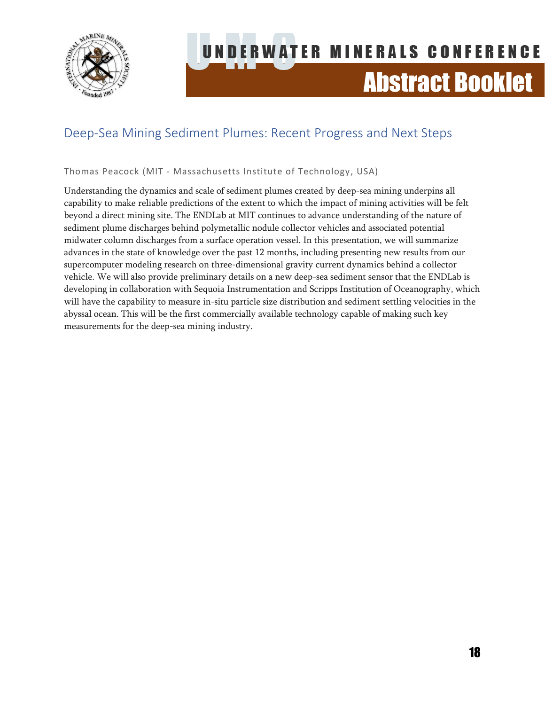

### <span id="page-18-0"></span>Deep-Sea Mining Sediment Plumes: Recent Progress and Next Steps

#### Thomas Peacock (MIT - Massachusetts Institute of Technology, USA)

Understanding the dynamics and scale of sediment plumes created by deep-sea mining underpins all capability to make reliable predictions of the extent to which the impact of mining activities will be felt beyond a direct mining site. The ENDLab at MIT continues to advance understanding of the nature of sediment plume discharges behind polymetallic nodule collector vehicles and associated potential midwater column discharges from a surface operation vessel. In this presentation, we will summarize advances in the state of knowledge over the past 12 months, including presenting new results from our supercomputer modeling research on three-dimensional gravity current dynamics behind a collector vehicle. We will also provide preliminary details on a new deep-sea sediment sensor that the ENDLab is developing in collaboration with Sequoia Instrumentation and Scripps Institution of Oceanography, which will have the capability to measure in-situ particle size distribution and sediment settling velocities in the abyssal ocean. This will be the first commercially available technology capable of making such key measurements for the deep-sea mining industry.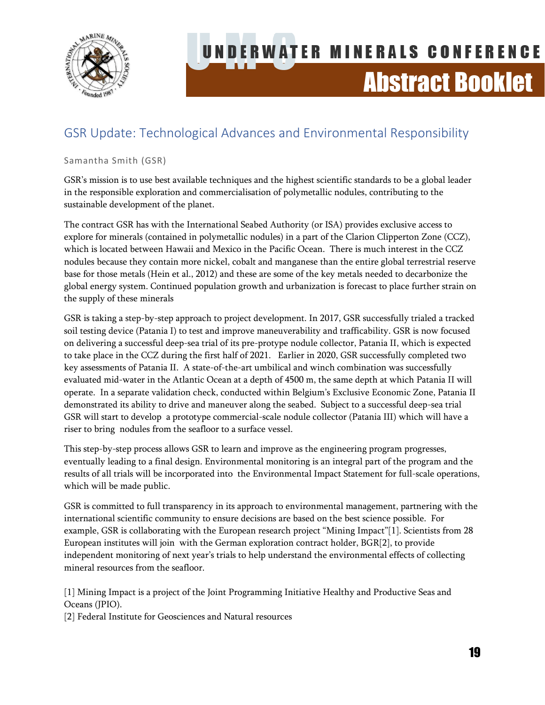

### <span id="page-19-0"></span>GSR Update: Technological Advances and Environmental Responsibility

#### Samantha Smith (GSR)

GSR's mission is to use best available techniques and the highest scientific standards to be a global leader in the responsible exploration and commercialisation of polymetallic nodules, contributing to the sustainable development of the planet.

The contract GSR has with the International Seabed Authority (or ISA) provides exclusive access to explore for minerals (contained in polymetallic nodules) in a part of the Clarion Clipperton Zone (CCZ), which is located between Hawaii and Mexico in the Pacific Ocean. There is much interest in the CCZ nodules because they contain more nickel, cobalt and manganese than the entire global terrestrial reserve base for those metals (Hein et al., 2012) and these are some of the key metals needed to decarbonize the global energy system. Continued population growth and urbanization is forecast to place further strain on the supply of these minerals

GSR is taking a step-by-step approach to project development. In 2017, GSR successfully trialed a tracked soil testing device (Patania I) to test and improve maneuverability and trafficability. GSR is now focused on delivering a successful deep-sea trial of its pre-protype nodule collector, Patania II, which is expected to take place in the CCZ during the first half of 2021. Earlier in 2020, GSR successfully completed two key assessments of Patania II. A state-of-the-art umbilical and winch combination was successfully evaluated mid-water in the Atlantic Ocean at a depth of 4500 m, the same depth at which Patania II will operate. In a separate validation check, conducted within Belgium's Exclusive Economic Zone, Patania II demonstrated its ability to drive and maneuver along the seabed. Subject to a successful deep-sea trial GSR will start to develop a prototype commercial-scale nodule collector (Patania III) which will have a riser to bring nodules from the seafloor to a surface vessel.

This step-by-step process allows GSR to learn and improve as the engineering program progresses, eventually leading to a final design. Environmental monitoring is an integral part of the program and the results of all trials will be incorporated into the Environmental Impact Statement for full-scale operations, which will be made public.

GSR is committed to full transparency in its approach to environmental management, partnering with the international scientific community to ensure decisions are based on the best science possible. For example, GSR is collaborating with the European research project "Mining Impact"[1]. Scientists from 28 European institutes will join with the German exploration contract holder, BGR[2], to provide independent monitoring of next year's trials to help understand the environmental effects of collecting mineral resources from the seafloor.

[1] Mining Impact is a project of the Joint Programming Initiative Healthy and Productive Seas and Oceans (JPIO).

[2] Federal Institute for Geosciences and Natural resources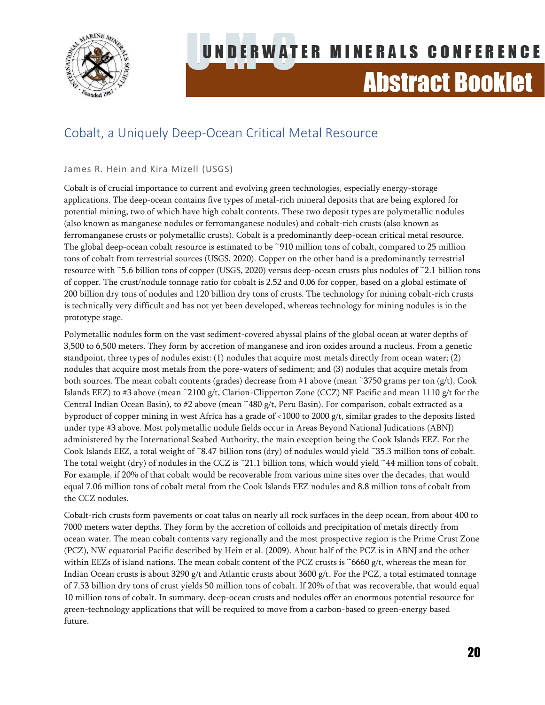

### <span id="page-20-0"></span>Cobalt, a Uniquely Deep-Ocean Critical Metal Resource

#### James R. Hein and Kira Mizell (USGS)

Cobalt is of crucial importance to current and evolving green technologies, especially energy-storage applications. The deep-ocean contains five types of metal-rich mineral deposits that are being explored for potential mining, two of which have high cobalt contents. These two deposit types are polymetallic nodules (also known as manganese nodules or ferromanganese nodules) and cobalt-rich crusts (also known as ferromanganese crusts or polymetallic crusts). Cobalt is a predominantly deep-ocean critical metal resource. The global deep-ocean cobalt resource is estimated to be ~910 million tons of cobalt, compared to 25 million tons of cobalt from terrestrial sources (USGS, 2020). Copper on the other hand is a predominantly terrestrial resource with ~5.6 billion tons of copper (USGS, 2020) versus deep-ocean crusts plus nodules of ~2.1 billion tons of copper. The crust/nodule tonnage ratio for cobalt is 2.52 and 0.06 for copper, based on a global estimate of 200 billion dry tons of nodules and 120 billion dry tons of crusts. The technology for mining cobalt-rich crusts is technically very difficult and has not yet been developed, whereas technology for mining nodules is in the prototype stage.

Polymetallic nodules form on the vast sediment-covered abyssal plains of the global ocean at water depths of 3,500 to 6,500 meters. They form by accretion of manganese and iron oxides around a nucleus. From a genetic standpoint, three types of nodules exist: (1) nodules that acquire most metals directly from ocean water; (2) nodules that acquire most metals from the pore-waters of sediment; and (3) nodules that acquire metals from both sources. The mean cobalt contents (grades) decrease from #1 above (mean ~3750 grams per ton (g/t), Cook Islands EEZ) to #3 above (mean ~2100 g/t, Clarion-Clipperton Zone (CCZ) NE Pacific and mean 1110 g/t for the Central Indian Ocean Basin), to #2 above (mean  $\tilde{ }$ 480 g/t, Peru Basin). For comparison, cobalt extracted as a byproduct of copper mining in west Africa has a grade of <1000 to 2000 g/t, similar grades to the deposits listed under type #3 above. Most polymetallic nodule fields occur in Areas Beyond National Judications (ABNJ) administered by the International Seabed Authority, the main exception being the Cook Islands EEZ. For the Cook Islands EEZ, a total weight of ~8.47 billion tons (dry) of nodules would yield ~35.3 million tons of cobalt. The total weight (dry) of nodules in the CCZ is  $\degree$ 21.1 billion tons, which would yield  $\degree$ 44 million tons of cobalt. For example, if 20% of that cobalt would be recoverable from various mine sites over the decades, that would equal 7.06 million tons of cobalt metal from the Cook Islands EEZ nodules and 8.8 million tons of cobalt from the CCZ nodules.

Cobalt-rich crusts form pavements or coat talus on nearly all rock surfaces in the deep ocean, from about 400 to 7000 meters water depths. They form by the accretion of colloids and precipitation of metals directly from ocean water. The mean cobalt contents vary regionally and the most prospective region is the Prime Crust Zone (PCZ), NW equatorial Pacific described by Hein et al. (2009). About half of the PCZ is in ABNJ and the other within EEZs of island nations. The mean cobalt content of the PCZ crusts is ~6660  $g/t$ , whereas the mean for Indian Ocean crusts is about 3290 g/t and Atlantic crusts about 3600 g/t. For the PCZ, a total estimated tonnage of 7.53 billion dry tons of crust yields 50 million tons of cobalt. If 20% of that was recoverable, that would equal 10 million tons of cobalt. In summary, deep-ocean crusts and nodules offer an enormous potential resource for green-technology applications that will be required to move from a carbon-based to green-energy based future.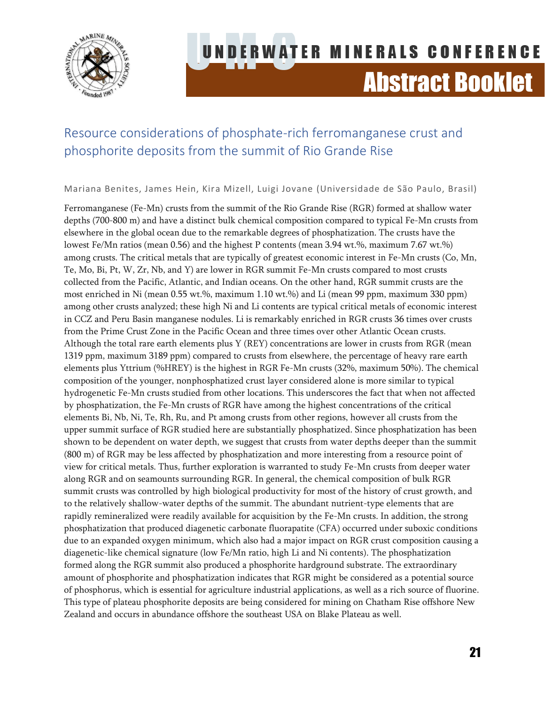

### <span id="page-21-0"></span>Resource considerations of phosphate-rich ferromanganese crust and phosphorite deposits from the summit of Rio Grande Rise

Mariana Benites, James Hein, Kira Mizell, Luigi Jovane (Universidade de São Paulo, Brasil)

Ferromanganese (Fe-Mn) crusts from the summit of the Rio Grande Rise (RGR) formed at shallow water depths (700-800 m) and have a distinct bulk chemical composition compared to typical Fe-Mn crusts from elsewhere in the global ocean due to the remarkable degrees of phosphatization. The crusts have the lowest Fe/Mn ratios (mean 0.56) and the highest P contents (mean 3.94 wt.%, maximum 7.67 wt.%) among crusts. The critical metals that are typically of greatest economic interest in Fe-Mn crusts (Co, Mn, Te, Mo, Bi, Pt, W, Zr, Nb, and Y) are lower in RGR summit Fe-Mn crusts compared to most crusts collected from the Pacific, Atlantic, and Indian oceans. On the other hand, RGR summit crusts are the most enriched in Ni (mean 0.55 wt.%, maximum 1.10 wt.%) and Li (mean 99 ppm, maximum 330 ppm) among other crusts analyzed; these high Ni and Li contents are typical critical metals of economic interest in CCZ and Peru Basin manganese nodules. Li is remarkably enriched in RGR crusts 36 times over crusts from the Prime Crust Zone in the Pacific Ocean and three times over other Atlantic Ocean crusts. Although the total rare earth elements plus Y (REY) concentrations are lower in crusts from RGR (mean 1319 ppm, maximum 3189 ppm) compared to crusts from elsewhere, the percentage of heavy rare earth elements plus Yttrium (%HREY) is the highest in RGR Fe-Mn crusts (32%, maximum 50%). The chemical composition of the younger, nonphosphatized crust layer considered alone is more similar to typical hydrogenetic Fe-Mn crusts studied from other locations. This underscores the fact that when not affected by phosphatization, the Fe-Mn crusts of RGR have among the highest concentrations of the critical elements Bi, Nb, Ni, Te, Rh, Ru, and Pt among crusts from other regions, however all crusts from the upper summit surface of RGR studied here are substantially phosphatized. Since phosphatization has been shown to be dependent on water depth, we suggest that crusts from water depths deeper than the summit (800 m) of RGR may be less affected by phosphatization and more interesting from a resource point of view for critical metals. Thus, further exploration is warranted to study Fe-Mn crusts from deeper water along RGR and on seamounts surrounding RGR. In general, the chemical composition of bulk RGR summit crusts was controlled by high biological productivity for most of the history of crust growth, and to the relatively shallow-water depths of the summit. The abundant nutrient-type elements that are rapidly remineralized were readily available for acquisition by the Fe-Mn crusts. In addition, the strong phosphatization that produced diagenetic carbonate fluorapatite (CFA) occurred under suboxic conditions due to an expanded oxygen minimum, which also had a major impact on RGR crust composition causing a diagenetic-like chemical signature (low Fe/Mn ratio, high Li and Ni contents). The phosphatization formed along the RGR summit also produced a phosphorite hardground substrate. The extraordinary amount of phosphorite and phosphatization indicates that RGR might be considered as a potential source of phosphorus, which is essential for agriculture industrial applications, as well as a rich source of fluorine. This type of plateau phosphorite deposits are being considered for mining on Chatham Rise offshore New Zealand and occurs in abundance offshore the southeast USA on Blake Plateau as well.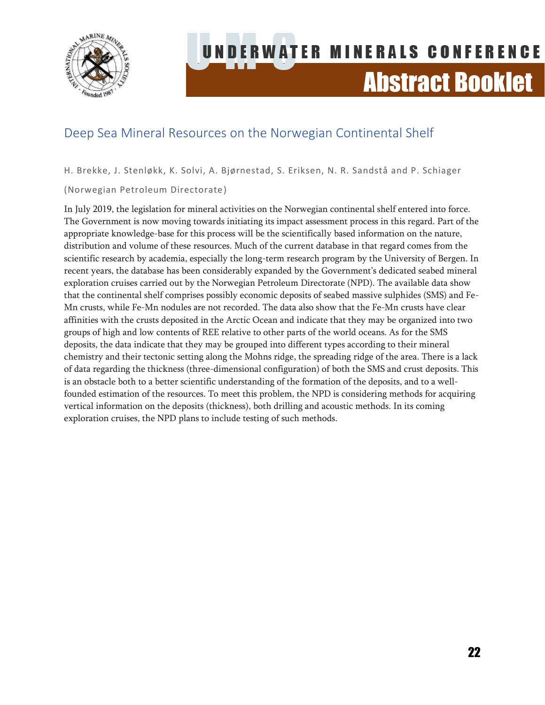

### <span id="page-22-0"></span>Deep Sea Mineral Resources on the Norwegian Continental Shelf

H. Brekke, J. Stenløkk, K. Solvi, A. Bjørnestad, S. Eriksen, N. R. Sandstå and P. Schiager

(Norwegian Petroleum Directorate)

In July 2019, the legislation for mineral activities on the Norwegian continental shelf entered into force. The Government is now moving towards initiating its impact assessment process in this regard. Part of the appropriate knowledge-base for this process will be the scientifically based information on the nature, distribution and volume of these resources. Much of the current database in that regard comes from the scientific research by academia, especially the long-term research program by the University of Bergen. In recent years, the database has been considerably expanded by the Government's dedicated seabed mineral exploration cruises carried out by the Norwegian Petroleum Directorate (NPD). The available data show that the continental shelf comprises possibly economic deposits of seabed massive sulphides (SMS) and Fe-Mn crusts, while Fe-Mn nodules are not recorded. The data also show that the Fe-Mn crusts have clear affinities with the crusts deposited in the Arctic Ocean and indicate that they may be organized into two groups of high and low contents of REE relative to other parts of the world oceans. As for the SMS deposits, the data indicate that they may be grouped into different types according to their mineral chemistry and their tectonic setting along the Mohns ridge, the spreading ridge of the area. There is a lack of data regarding the thickness (three-dimensional configuration) of both the SMS and crust deposits. This is an obstacle both to a better scientific understanding of the formation of the deposits, and to a wellfounded estimation of the resources. To meet this problem, the NPD is considering methods for acquiring vertical information on the deposits (thickness), both drilling and acoustic methods. In its coming exploration cruises, the NPD plans to include testing of such methods.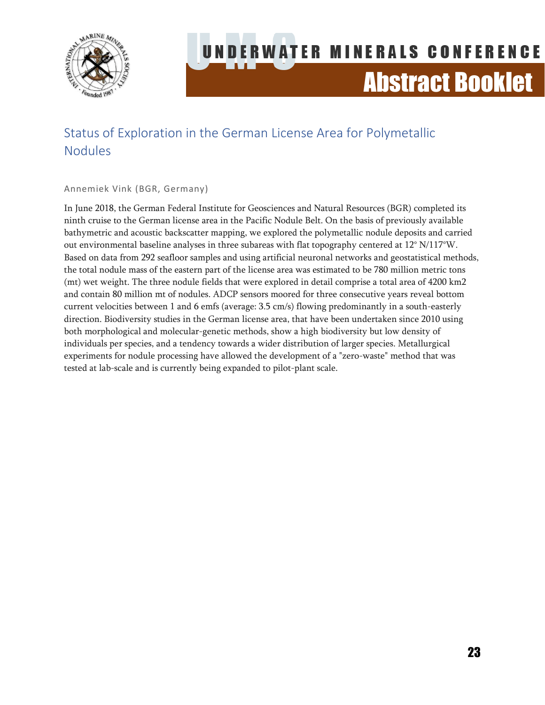

### <span id="page-23-0"></span>Status of Exploration in the German License Area for Polymetallic Nodules

#### Annemiek Vink (BGR, Germany)

In June 2018, the German Federal Institute for Geosciences and Natural Resources (BGR) completed its ninth cruise to the German license area in the Pacific Nodule Belt. On the basis of previously available bathymetric and acoustic backscatter mapping, we explored the polymetallic nodule deposits and carried out environmental baseline analyses in three subareas with flat topography centered at 12° N/117°W. Based on data from 292 seafloor samples and using artificial neuronal networks and geostatistical methods, the total nodule mass of the eastern part of the license area was estimated to be 780 million metric tons (mt) wet weight. The three nodule fields that were explored in detail comprise a total area of 4200 km2 and contain 80 million mt of nodules. ADCP sensors moored for three consecutive years reveal bottom current velocities between 1 and 6 emfs (average: 3.5 cm/s) flowing predominantly in a south-easterly direction. Biodiversity studies in the German license area, that have been undertaken since 2010 using both morphological and molecular-genetic methods, show a high biodiversity but low density of individuals per species, and a tendency towards a wider distribution of larger species. Metallurgical experiments for nodule processing have allowed the development of a "zero-waste" method that was tested at lab-scale and is currently being expanded to pilot-plant scale.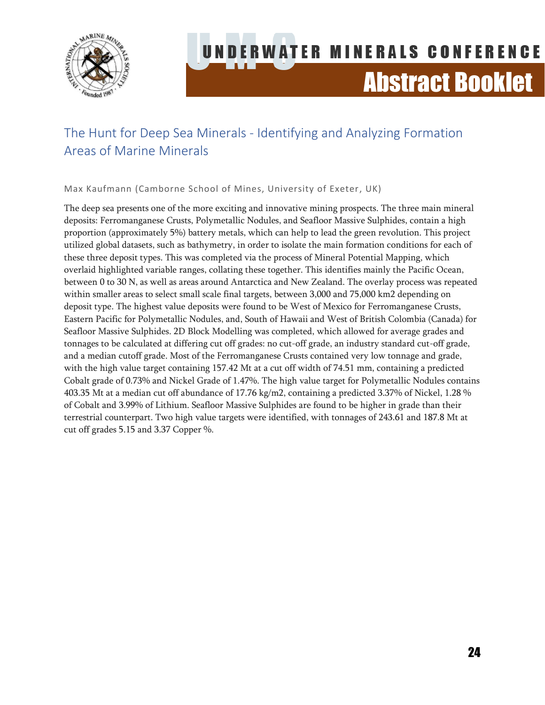

### <span id="page-24-0"></span>The Hunt for Deep Sea Minerals - Identifying and Analyzing Formation Areas of Marine Minerals

Max Kaufmann (Camborne School of Mines, University of Exeter, UK)

The deep sea presents one of the more exciting and innovative mining prospects. The three main mineral deposits: Ferromanganese Crusts, Polymetallic Nodules, and Seafloor Massive Sulphides, contain a high proportion (approximately 5%) battery metals, which can help to lead the green revolution. This project utilized global datasets, such as bathymetry, in order to isolate the main formation conditions for each of these three deposit types. This was completed via the process of Mineral Potential Mapping, which overlaid highlighted variable ranges, collating these together. This identifies mainly the Pacific Ocean, between 0 to 30 N, as well as areas around Antarctica and New Zealand. The overlay process was repeated within smaller areas to select small scale final targets, between 3,000 and 75,000 km2 depending on deposit type. The highest value deposits were found to be West of Mexico for Ferromanganese Crusts, Eastern Pacific for Polymetallic Nodules, and, South of Hawaii and West of British Colombia (Canada) for Seafloor Massive Sulphides. 2D Block Modelling was completed, which allowed for average grades and tonnages to be calculated at differing cut off grades: no cut-off grade, an industry standard cut-off grade, and a median cutoff grade. Most of the Ferromanganese Crusts contained very low tonnage and grade, with the high value target containing 157.42 Mt at a cut off width of 74.51 mm, containing a predicted Cobalt grade of 0.73% and Nickel Grade of 1.47%. The high value target for Polymetallic Nodules contains 403.35 Mt at a median cut off abundance of 17.76 kg/m2, containing a predicted 3.37% of Nickel, 1.28 % of Cobalt and 3.99% of Lithium. Seafloor Massive Sulphides are found to be higher in grade than their terrestrial counterpart. Two high value targets were identified, with tonnages of 243.61 and 187.8 Mt at cut off grades 5.15 and 3.37 Copper %.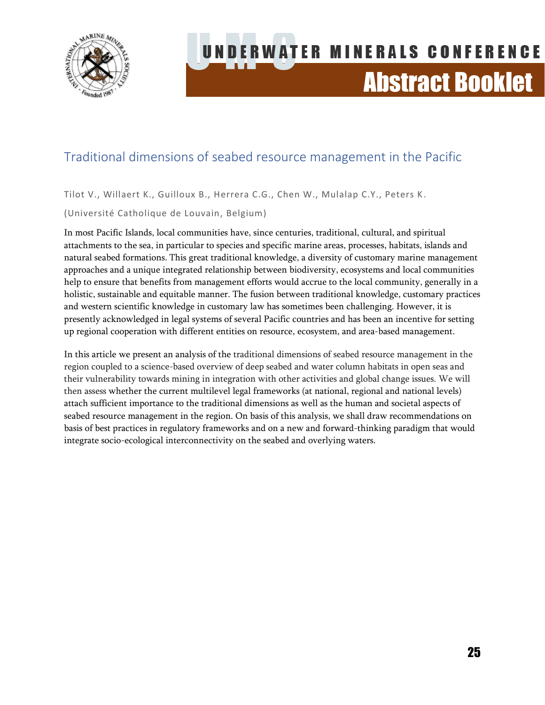

### <span id="page-25-0"></span>Traditional dimensions of seabed resource management in the Pacific

Tilot V., Willaert K., Guilloux B., Herrera C.G., Chen W., Mulalap C.Y., Peters K.

#### (Université Catholique de Louvain, Belgium)

In most Pacific Islands, local communities have, since centuries, traditional, cultural, and spiritual attachments to the sea, in particular to species and specific marine areas, processes, habitats, islands and natural seabed formations. This great traditional knowledge, a diversity of customary marine management approaches and a unique integrated relationship between biodiversity, ecosystems and local communities help to ensure that benefits from management efforts would accrue to the local community, generally in a holistic, sustainable and equitable manner. The fusion between traditional knowledge, customary practices and western scientific knowledge in customary law has sometimes been challenging. However, it is presently acknowledged in legal systems of several Pacific countries and has been an incentive for setting up regional cooperation with different entities on resource, ecosystem, and area-based management.

In this article we present an analysis of the traditional dimensions of seabed resource management in the region coupled to a science-based overview of deep seabed and water column habitats in open seas and their vulnerability towards mining in integration with other activities and global change issues. We will then assess whether the current multilevel legal frameworks (at national, regional and national levels) attach sufficient importance to the traditional dimensions as well as the human and societal aspects of seabed resource management in the region. On basis of this analysis, we shall draw recommendations on basis of best practices in regulatory frameworks and on a new and forward-thinking paradigm that would integrate socio-ecological interconnectivity on the seabed and overlying waters.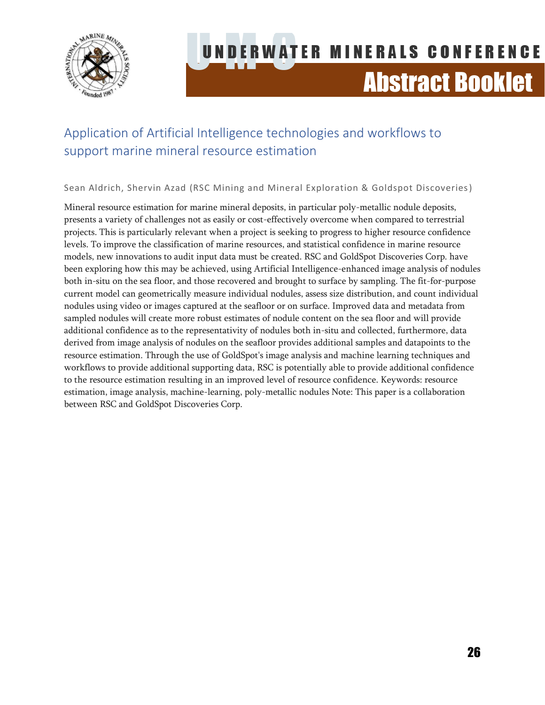

### <span id="page-26-0"></span>Application of Artificial Intelligence technologies and workflows to support marine mineral resource estimation

#### Sean Aldrich, Shervin Azad (RSC Mining and Mineral Exploration & Goldspot Discoveries)

Mineral resource estimation for marine mineral deposits, in particular poly-metallic nodule deposits, presents a variety of challenges not as easily or cost-effectively overcome when compared to terrestrial projects. This is particularly relevant when a project is seeking to progress to higher resource confidence levels. To improve the classification of marine resources, and statistical confidence in marine resource models, new innovations to audit input data must be created. RSC and GoldSpot Discoveries Corp. have been exploring how this may be achieved, using Artificial Intelligence-enhanced image analysis of nodules both in-situ on the sea floor, and those recovered and brought to surface by sampling. The fit-for-purpose current model can geometrically measure individual nodules, assess size distribution, and count individual nodules using video or images captured at the seafloor or on surface. Improved data and metadata from sampled nodules will create more robust estimates of nodule content on the sea floor and will provide additional confidence as to the representativity of nodules both in-situ and collected, furthermore, data derived from image analysis of nodules on the seafloor provides additional samples and datapoints to the resource estimation. Through the use of GoldSpot's image analysis and machine learning techniques and workflows to provide additional supporting data, RSC is potentially able to provide additional confidence to the resource estimation resulting in an improved level of resource confidence. Keywords: resource estimation, image analysis, machine-learning, poly-metallic nodules Note: This paper is a collaboration between RSC and GoldSpot Discoveries Corp.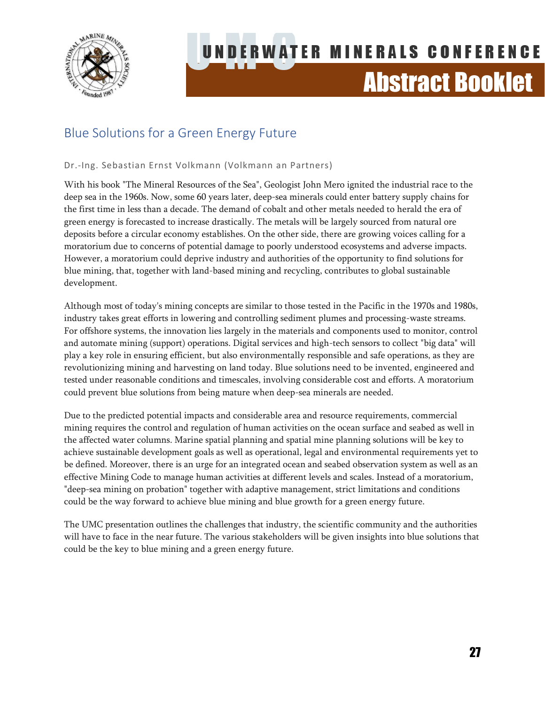

### <span id="page-27-0"></span>Blue Solutions for a Green Energy Future

#### Dr.-Ing. Sebastian Ernst Volkmann (Volkmann an Partners)

With his book "The Mineral Resources of the Sea", Geologist John Mero ignited the industrial race to the deep sea in the 1960s. Now, some 60 years later, deep-sea minerals could enter battery supply chains for the first time in less than a decade. The demand of cobalt and other metals needed to herald the era of green energy is forecasted to increase drastically. The metals will be largely sourced from natural ore deposits before a circular economy establishes. On the other side, there are growing voices calling for a moratorium due to concerns of potential damage to poorly understood ecosystems and adverse impacts. However, a moratorium could deprive industry and authorities of the opportunity to find solutions for blue mining, that, together with land-based mining and recycling, contributes to global sustainable development.

Although most of today's mining concepts are similar to those tested in the Pacific in the 1970s and 1980s, industry takes great efforts in lowering and controlling sediment plumes and processing-waste streams. For offshore systems, the innovation lies largely in the materials and components used to monitor, control and automate mining (support) operations. Digital services and high-tech sensors to collect "big data" will play a key role in ensuring efficient, but also environmentally responsible and safe operations, as they are revolutionizing mining and harvesting on land today. Blue solutions need to be invented, engineered and tested under reasonable conditions and timescales, involving considerable cost and efforts. A moratorium could prevent blue solutions from being mature when deep-sea minerals are needed.

Due to the predicted potential impacts and considerable area and resource requirements, commercial mining requires the control and regulation of human activities on the ocean surface and seabed as well in the affected water columns. Marine spatial planning and spatial mine planning solutions will be key to achieve sustainable development goals as well as operational, legal and environmental requirements yet to be defined. Moreover, there is an urge for an integrated ocean and seabed observation system as well as an effective Mining Code to manage human activities at different levels and scales. Instead of a moratorium, "deep-sea mining on probation" together with adaptive management, strict limitations and conditions could be the way forward to achieve blue mining and blue growth for a green energy future.

The UMC presentation outlines the challenges that industry, the scientific community and the authorities will have to face in the near future. The various stakeholders will be given insights into blue solutions that could be the key to blue mining and a green energy future.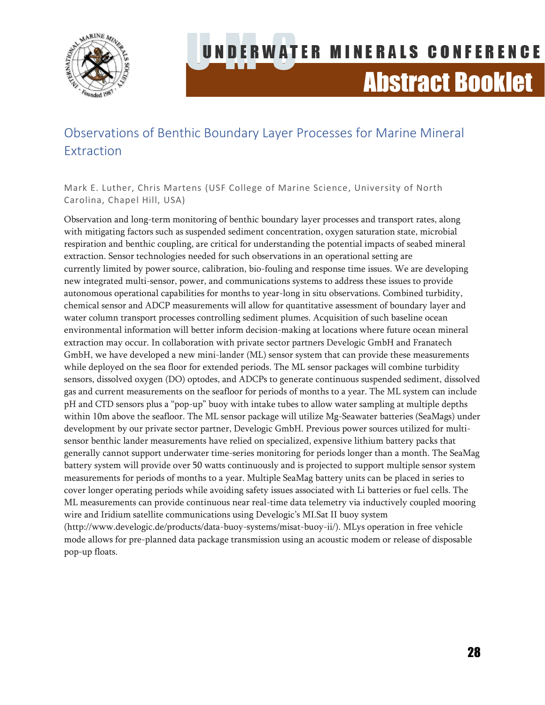

### <span id="page-28-0"></span>Observations of Benthic Boundary Layer Processes for Marine Mineral Extraction

Mark E. Luther, Chris Martens (USF College of Marine Science, University of North Carolina, Chapel Hill, USA)

Observation and long-term monitoring of benthic boundary layer processes and transport rates, along with mitigating factors such as suspended sediment concentration, oxygen saturation state, microbial respiration and benthic coupling, are critical for understanding the potential impacts of seabed mineral extraction. Sensor technologies needed for such observations in an operational setting are currently limited by power source, calibration, bio-fouling and response time issues. We are developing new integrated multi-sensor, power, and communications systems to address these issues to provide autonomous operational capabilities for months to year-long in situ observations. Combined turbidity, chemical sensor and ADCP measurements will allow for quantitative assessment of boundary layer and water column transport processes controlling sediment plumes. Acquisition of such baseline ocean environmental information will better inform decision-making at locations where future ocean mineral extraction may occur. In collaboration with private sector partners Develogic GmbH and Franatech GmbH, we have developed a new mini-lander (ML) sensor system that can provide these measurements while deployed on the sea floor for extended periods. The ML sensor packages will combine turbidity sensors, dissolved oxygen (DO) optodes, and ADCPs to generate continuous suspended sediment, dissolved gas and current measurements on the seafloor for periods of months to a year. The ML system can include pH and CTD sensors plus a "pop-up" buoy with intake tubes to allow water sampling at multiple depths within 10m above the seafloor. The ML sensor package will utilize Mg-Seawater batteries (SeaMags) under development by our private sector partner, Develogic GmbH. Previous power sources utilized for multisensor benthic lander measurements have relied on specialized, expensive lithium battery packs that generally cannot support underwater time-series monitoring for periods longer than a month. The SeaMag battery system will provide over 50 watts continuously and is projected to support multiple sensor system measurements for periods of months to a year. Multiple SeaMag battery units can be placed in series to cover longer operating periods while avoiding safety issues associated with Li batteries or fuel cells. The ML measurements can provide continuous near real-time data telemetry via inductively coupled mooring wire and Iridium satellite communications using Develogic's MI.Sat II buoy system (http://www.develogic.de/products/data-buoy-systems/misat-buoy-ii/). MLys operation in free vehicle mode allows for pre-planned data package transmission using an acoustic modem or release of disposable pop-up floats.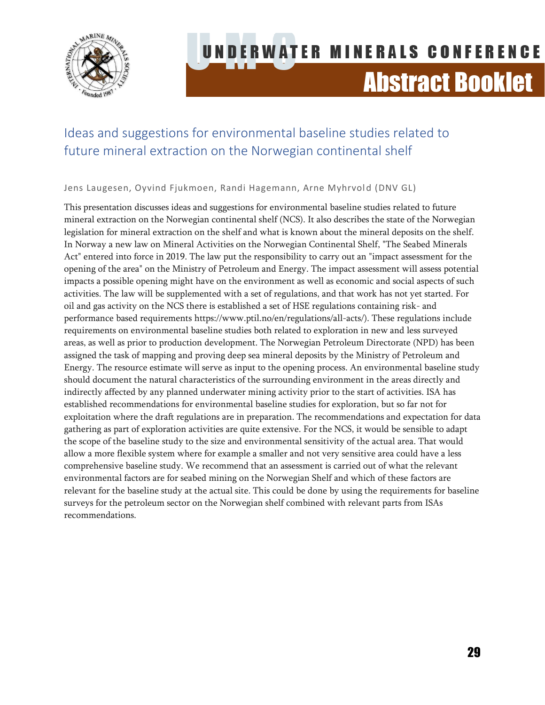

### <span id="page-29-0"></span>Ideas and suggestions for environmental baseline studies related to future mineral extraction on the Norwegian continental shelf

#### Jens Laugesen, Oyvind Fjukmoen, Randi Hagemann, Arne Myhrvold (DNV GL)

This presentation discusses ideas and suggestions for environmental baseline studies related to future mineral extraction on the Norwegian continental shelf (NCS). It also describes the state of the Norwegian legislation for mineral extraction on the shelf and what is known about the mineral deposits on the shelf. In Norway a new law on Mineral Activities on the Norwegian Continental Shelf, "The Seabed Minerals Act" entered into force in 2019. The law put the responsibility to carry out an "impact assessment for the opening of the area" on the Ministry of Petroleum and Energy. The impact assessment will assess potential impacts a possible opening might have on the environment as well as economic and social aspects of such activities. The law will be supplemented with a set of regulations, and that work has not yet started. For oil and gas activity on the NCS there is established a set of HSE regulations containing risk- and performance based requirements https://www.ptil.no/en/regulations/all-acts/). These regulations include requirements on environmental baseline studies both related to exploration in new and less surveyed areas, as well as prior to production development. The Norwegian Petroleum Directorate (NPD) has been assigned the task of mapping and proving deep sea mineral deposits by the Ministry of Petroleum and Energy. The resource estimate will serve as input to the opening process. An environmental baseline study should document the natural characteristics of the surrounding environment in the areas directly and indirectly affected by any planned underwater mining activity prior to the start of activities. ISA has established recommendations for environmental baseline studies for exploration, but so far not for exploitation where the draft regulations are in preparation. The recommendations and expectation for data gathering as part of exploration activities are quite extensive. For the NCS, it would be sensible to adapt the scope of the baseline study to the size and environmental sensitivity of the actual area. That would allow a more flexible system where for example a smaller and not very sensitive area could have a less comprehensive baseline study. We recommend that an assessment is carried out of what the relevant environmental factors are for seabed mining on the Norwegian Shelf and which of these factors are relevant for the baseline study at the actual site. This could be done by using the requirements for baseline surveys for the petroleum sector on the Norwegian shelf combined with relevant parts from ISAs recommendations.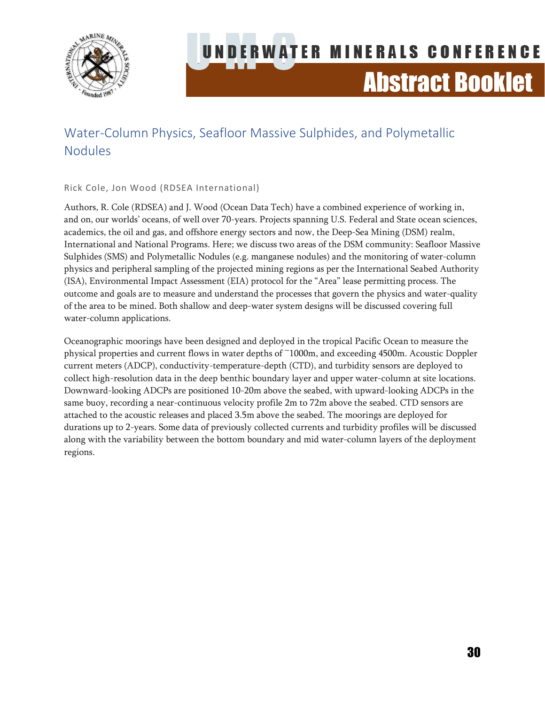

### <span id="page-30-0"></span>Water-Column Physics, Seafloor Massive Sulphides, and Polymetallic Nodules

#### Rick Cole, Jon Wood (RDSEA International)

Authors, R. Cole (RDSEA) and J. Wood (Ocean Data Tech) have a combined experience of working in, and on, our worlds' oceans, of well over 70-years. Projects spanning U.S. Federal and State ocean sciences, academics, the oil and gas, and offshore energy sectors and now, the Deep-Sea Mining (DSM) realm, International and National Programs. Here; we discuss two areas of the DSM community: Seafloor Massive Sulphides (SMS) and Polymetallic Nodules (e.g. manganese nodules) and the monitoring of water-column physics and peripheral sampling of the projected mining regions as per the International Seabed Authority (ISA), Environmental Impact Assessment (EIA) protocol for the "Area" lease permitting process. The outcome and goals are to measure and understand the processes that govern the physics and water-quality of the area to be mined. Both shallow and deep-water system designs will be discussed covering full water-column applications.

Oceanographic moorings have been designed and deployed in the tropical Pacific Ocean to measure the physical properties and current flows in water depths of ~1000m, and exceeding 4500m. Acoustic Doppler current meters (ADCP), conductivity-temperature-depth (CTD), and turbidity sensors are deployed to collect high-resolution data in the deep benthic boundary layer and upper water-column at site locations. Downward-looking ADCPs are positioned 10-20m above the seabed, with upward-looking ADCPs in the same buoy, recording a near-continuous velocity profile 2m to 72m above the seabed. CTD sensors are attached to the acoustic releases and placed 3.5m above the seabed. The moorings are deployed for durations up to 2-years. Some data of previously collected currents and turbidity profiles will be discussed along with the variability between the bottom boundary and mid water-column layers of the deployment regions.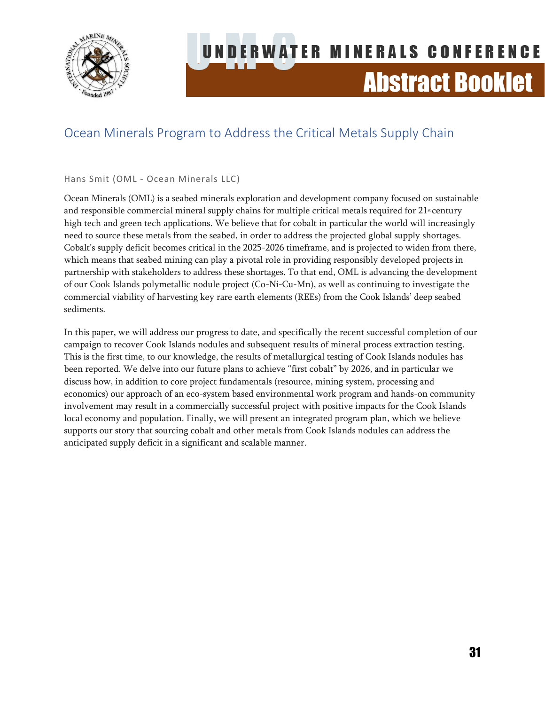

### <span id="page-31-0"></span>Ocean Minerals Program to Address the Critical Metals Supply Chain

#### Hans Smit (OML - Ocean Minerals LLC)

Ocean Minerals (OML) is a seabed minerals exploration and development company focused on sustainable and responsible commercial mineral supply chains for multiple critical metals required for 21<sup>st</sup> century high tech and green tech applications. We believe that for cobalt in particular the world will increasingly need to source these metals from the seabed, in order to address the projected global supply shortages. Cobalt's supply deficit becomes critical in the 2025-2026 timeframe, and is projected to widen from there, which means that seabed mining can play a pivotal role in providing responsibly developed projects in partnership with stakeholders to address these shortages. To that end, OML is advancing the development of our Cook Islands polymetallic nodule project (Co-Ni-Cu-Mn), as well as continuing to investigate the commercial viability of harvesting key rare earth elements (REEs) from the Cook Islands' deep seabed sediments.

In this paper, we will address our progress to date, and specifically the recent successful completion of our campaign to recover Cook Islands nodules and subsequent results of mineral process extraction testing. This is the first time, to our knowledge, the results of metallurgical testing of Cook Islands nodules has been reported. We delve into our future plans to achieve "first cobalt" by 2026, and in particular we discuss how, in addition to core project fundamentals (resource, mining system, processing and economics) our approach of an eco-system based environmental work program and hands-on community involvement may result in a commercially successful project with positive impacts for the Cook Islands local economy and population. Finally, we will present an integrated program plan, which we believe supports our story that sourcing cobalt and other metals from Cook Islands nodules can address the anticipated supply deficit in a significant and scalable manner.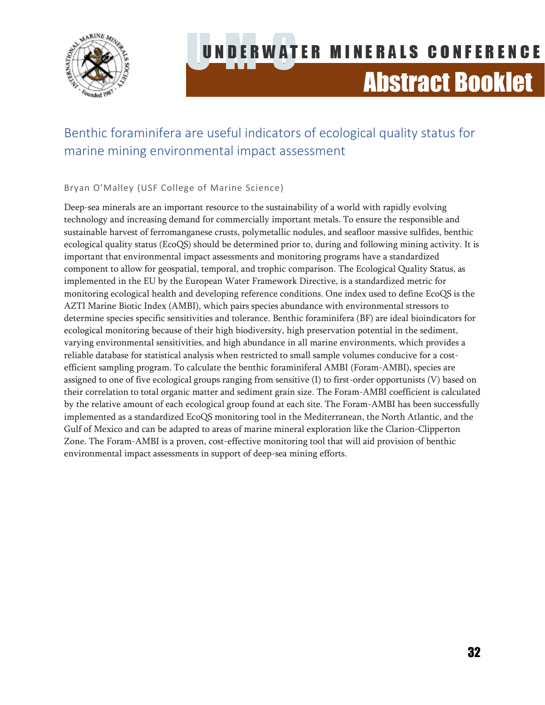

### <span id="page-32-0"></span>Benthic foraminifera are useful indicators of ecological quality status for marine mining environmental impact assessment

#### Bryan O'Malley (USF College of Marine Science)

Deep-sea minerals are an important resource to the sustainability of a world with rapidly evolving technology and increasing demand for commercially important metals. To ensure the responsible and sustainable harvest of ferromanganese crusts, polymetallic nodules, and seafloor massive sulfides, benthic ecological quality status (EcoQS) should be determined prior to, during and following mining activity. It is important that environmental impact assessments and monitoring programs have a standardized component to allow for geospatial, temporal, and trophic comparison. The Ecological Quality Status, as implemented in the EU by the European Water Framework Directive, is a standardized metric for monitoring ecological health and developing reference conditions. One index used to define EcoQS is the AZTI Marine Biotic Index (AMBI), which pairs species abundance with environmental stressors to determine species specific sensitivities and tolerance. Benthic foraminifera (BF) are ideal bioindicators for ecological monitoring because of their high biodiversity, high preservation potential in the sediment, varying environmental sensitivities, and high abundance in all marine environments, which provides a reliable database for statistical analysis when restricted to small sample volumes conducive for a costefficient sampling program. To calculate the benthic foraminiferal AMBI (Foram-AMBI), species are assigned to one of five ecological groups ranging from sensitive (I) to first-order opportunists (V) based on their correlation to total organic matter and sediment grain size. The Foram-AMBI coefficient is calculated by the relative amount of each ecological group found at each site. The Foram-AMBI has been successfully implemented as a standardized EcoQS monitoring tool in the Mediterranean, the North Atlantic, and the Gulf of Mexico and can be adapted to areas of marine mineral exploration like the Clarion-Clipperton Zone. The Foram-AMBI is a proven, cost-effective monitoring tool that will aid provision of benthic environmental impact assessments in support of deep-sea mining efforts.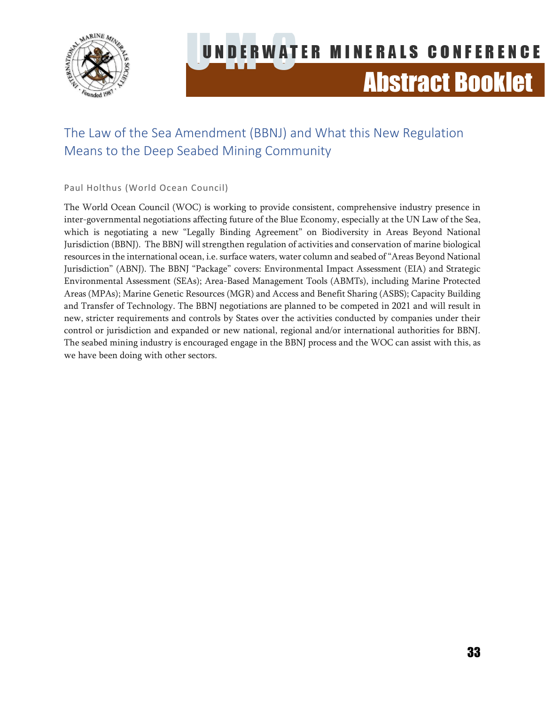

### <span id="page-33-0"></span>The Law of the Sea Amendment (BBNJ) and What this New Regulation Means to the Deep Seabed Mining Community

Paul Holthus (World Ocean Council)

The World Ocean Council (WOC) is working to provide consistent, comprehensive industry presence in inter-governmental negotiations affecting future of the Blue Economy, especially at the UN Law of the Sea, which is negotiating a new "Legally Binding Agreement" on Biodiversity in Areas Beyond National Jurisdiction (BBNJ). The BBNJ will strengthen regulation of activities and conservation of marine biological resources in the international ocean, i.e. surface waters, water column and seabed of "Areas Beyond National Jurisdiction" (ABNJ). The BBNJ "Package" covers: Environmental Impact Assessment (EIA) and Strategic Environmental Assessment (SEAs); Area-Based Management Tools (ABMTs), including Marine Protected Areas (MPAs); Marine Genetic Resources (MGR) and Access and Benefit Sharing (ASBS); Capacity Building and Transfer of Technology. The BBNJ negotiations are planned to be competed in 2021 and will result in new, stricter requirements and controls by States over the activities conducted by companies under their control or jurisdiction and expanded or new national, regional and/or international authorities for BBNJ. The seabed mining industry is encouraged engage in the BBNJ process and the WOC can assist with this, as we have been doing with other sectors.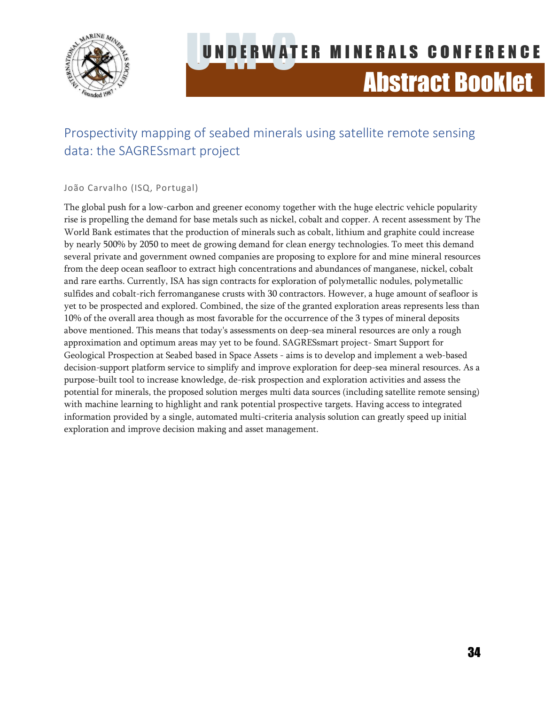

### <span id="page-34-0"></span>Prospectivity mapping of seabed minerals using satellite remote sensing data: the SAGRESsmart project

#### João Carvalho (ISQ, Portugal)

The global push for a low-carbon and greener economy together with the huge electric vehicle popularity rise is propelling the demand for base metals such as nickel, cobalt and copper. A recent assessment by The World Bank estimates that the production of minerals such as cobalt, lithium and graphite could increase by nearly 500% by 2050 to meet de growing demand for clean energy technologies. To meet this demand several private and government owned companies are proposing to explore for and mine mineral resources from the deep ocean seafloor to extract high concentrations and abundances of manganese, nickel, cobalt and rare earths. Currently, ISA has sign contracts for exploration of polymetallic nodules, polymetallic sulfides and cobalt-rich ferromanganese crusts with 30 contractors. However, a huge amount of seafloor is yet to be prospected and explored. Combined, the size of the granted exploration areas represents less than 10% of the overall area though as most favorable for the occurrence of the 3 types of mineral deposits above mentioned. This means that today's assessments on deep-sea mineral resources are only a rough approximation and optimum areas may yet to be found. SAGRESsmart project- Smart Support for Geological Prospection at Seabed based in Space Assets - aims is to develop and implement a web-based decision-support platform service to simplify and improve exploration for deep-sea mineral resources. As a purpose-built tool to increase knowledge, de-risk prospection and exploration activities and assess the potential for minerals, the proposed solution merges multi data sources (including satellite remote sensing) with machine learning to highlight and rank potential prospective targets. Having access to integrated information provided by a single, automated multi-criteria analysis solution can greatly speed up initial exploration and improve decision making and asset management.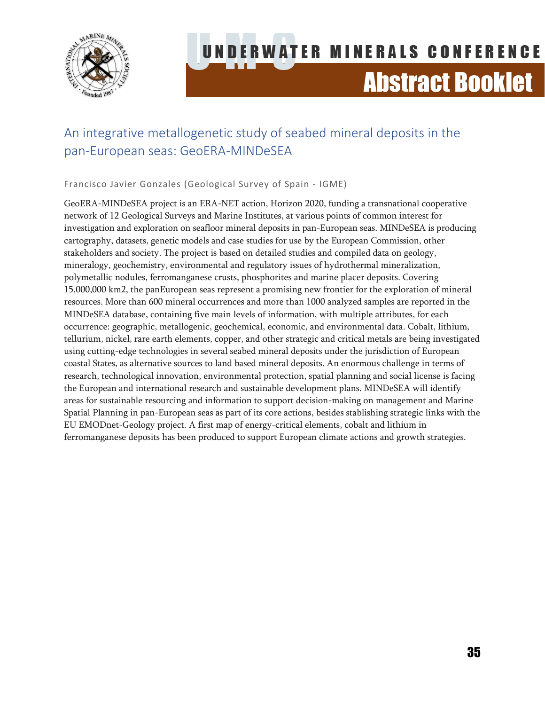

### <span id="page-35-0"></span>An integrative metallogenetic study of seabed mineral deposits in the pan-European seas: GeoERA-MINDeSEA

Francisco Javier Gonzales (Geological Survey of Spain - IGME)

GeoERA-MINDeSEA project is an ERA-NET action, Horizon 2020, funding a transnational cooperative network of 12 Geological Surveys and Marine Institutes, at various points of common interest for investigation and exploration on seafloor mineral deposits in pan-European seas. MINDeSEA is producing cartography, datasets, genetic models and case studies for use by the European Commission, other stakeholders and society. The project is based on detailed studies and compiled data on geology, mineralogy, geochemistry, environmental and regulatory issues of hydrothermal mineralization, polymetallic nodules, ferromanganese crusts, phosphorites and marine placer deposits. Covering 15,000,000 km2, the panEuropean seas represent a promising new frontier for the exploration of mineral resources. More than 600 mineral occurrences and more than 1000 analyzed samples are reported in the MINDeSEA database, containing five main levels of information, with multiple attributes, for each occurrence: geographic, metallogenic, geochemical, economic, and environmental data. Cobalt, lithium, tellurium, nickel, rare earth elements, copper, and other strategic and critical metals are being investigated using cutting-edge technologies in several seabed mineral deposits under the jurisdiction of European coastal States, as alternative sources to land based mineral deposits. An enormous challenge in terms of research, technological innovation, environmental protection, spatial planning and social license is facing the European and international research and sustainable development plans. MINDeSEA will identify areas for sustainable resourcing and information to support decision-making on management and Marine Spatial Planning in pan-European seas as part of its core actions, besides stablishing strategic links with the EU EMODnet-Geology project. A first map of energy-critical elements, cobalt and lithium in ferromanganese deposits has been produced to support European climate actions and growth strategies.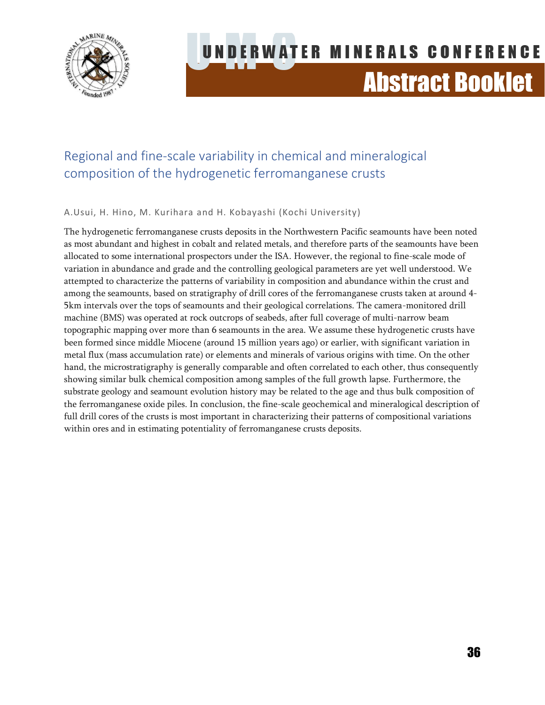

### <span id="page-36-0"></span>Regional and fine-scale variability in chemical and mineralogical composition of the hydrogenetic ferromanganese crusts

#### A.Usui, H. Hino, M. Kurihara and H. Kobayashi (Kochi University)

The hydrogenetic ferromanganese crusts deposits in the Northwestern Pacific seamounts have been noted as most abundant and highest in cobalt and related metals, and therefore parts of the seamounts have been allocated to some international prospectors under the ISA. However, the regional to fine-scale mode of variation in abundance and grade and the controlling geological parameters are yet well understood. We attempted to characterize the patterns of variability in composition and abundance within the crust and among the seamounts, based on stratigraphy of drill cores of the ferromanganese crusts taken at around 4- 5km intervals over the tops of seamounts and their geological correlations. The camera-monitored drill machine (BMS) was operated at rock outcrops of seabeds, after full coverage of multi-narrow beam topographic mapping over more than 6 seamounts in the area. We assume these hydrogenetic crusts have been formed since middle Miocene (around 15 million years ago) or earlier, with significant variation in metal flux (mass accumulation rate) or elements and minerals of various origins with time. On the other hand, the microstratigraphy is generally comparable and often correlated to each other, thus consequently showing similar bulk chemical composition among samples of the full growth lapse. Furthermore, the substrate geology and seamount evolution history may be related to the age and thus bulk composition of the ferromanganese oxide piles. In conclusion, the fine-scale geochemical and mineralogical description of full drill cores of the crusts is most important in characterizing their patterns of compositional variations within ores and in estimating potentiality of ferromanganese crusts deposits.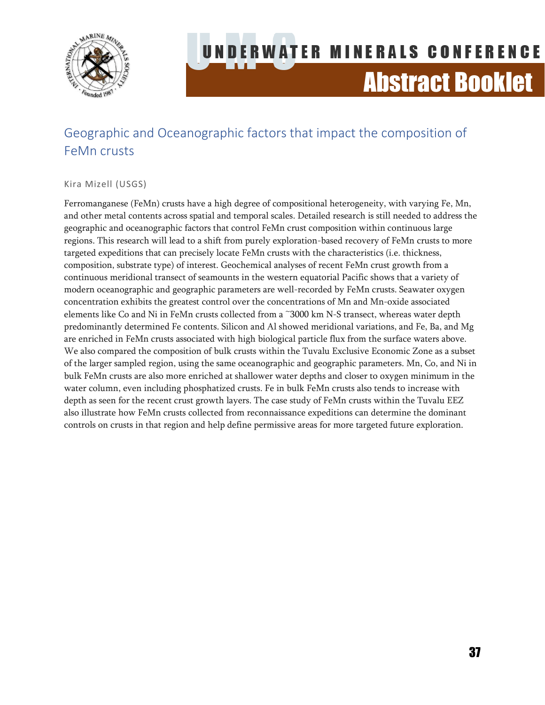

### <span id="page-37-0"></span>Geographic and Oceanographic factors that impact the composition of FeMn crusts

#### Kira Mizell (USGS)

Ferromanganese (FeMn) crusts have a high degree of compositional heterogeneity, with varying Fe, Mn, and other metal contents across spatial and temporal scales. Detailed research is still needed to address the geographic and oceanographic factors that control FeMn crust composition within continuous large regions. This research will lead to a shift from purely exploration-based recovery of FeMn crusts to more targeted expeditions that can precisely locate FeMn crusts with the characteristics (i.e. thickness, composition, substrate type) of interest. Geochemical analyses of recent FeMn crust growth from a continuous meridional transect of seamounts in the western equatorial Pacific shows that a variety of modern oceanographic and geographic parameters are well-recorded by FeMn crusts. Seawater oxygen concentration exhibits the greatest control over the concentrations of Mn and Mn-oxide associated elements like Co and Ni in FeMn crusts collected from a ~3000 km N-S transect, whereas water depth predominantly determined Fe contents. Silicon and Al showed meridional variations, and Fe, Ba, and Mg are enriched in FeMn crusts associated with high biological particle flux from the surface waters above. We also compared the composition of bulk crusts within the Tuvalu Exclusive Economic Zone as a subset of the larger sampled region, using the same oceanographic and geographic parameters. Mn, Co, and Ni in bulk FeMn crusts are also more enriched at shallower water depths and closer to oxygen minimum in the water column, even including phosphatized crusts. Fe in bulk FeMn crusts also tends to increase with depth as seen for the recent crust growth layers. The case study of FeMn crusts within the Tuvalu EEZ also illustrate how FeMn crusts collected from reconnaissance expeditions can determine the dominant controls on crusts in that region and help define permissive areas for more targeted future exploration.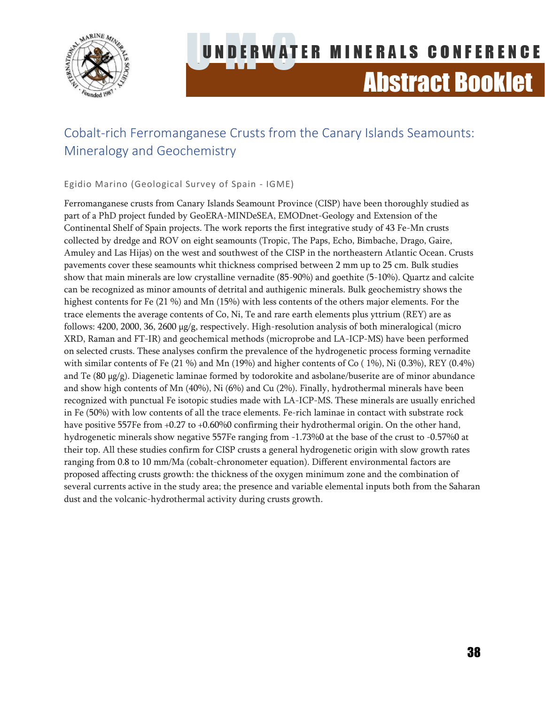

### <span id="page-38-0"></span>Cobalt-rich Ferromanganese Crusts from the Canary Islands Seamounts: Mineralogy and Geochemistry

#### Egidio Marino (Geological Survey of Spain - IGME)

Ferromanganese crusts from Canary Islands Seamount Province (CISP) have been thoroughly studied as part of a PhD project funded by GeoERA-MINDeSEA, EMODnet-Geology and Extension of the Continental Shelf of Spain projects. The work reports the first integrative study of 43 Fe-Mn crusts collected by dredge and ROV on eight seamounts (Tropic, The Paps, Echo, Bimbache, Drago, Gaire, Amuley and Las Hijas) on the west and southwest of the CISP in the northeastern Atlantic Ocean. Crusts pavements cover these seamounts whit thickness comprised between 2 mm up to 25 cm. Bulk studies show that main minerals are low crystalline vernadite (85-90%) and goethite (5-10%). Quartz and calcite can be recognized as minor amounts of detrital and authigenic minerals. Bulk geochemistry shows the highest contents for Fe (21 %) and Mn (15%) with less contents of the others major elements. For the trace elements the average contents of Co, Ni, Te and rare earth elements plus yttrium (REY) are as follows: 4200, 2000, 36, 2600 µg/g, respectively. High-resolution analysis of both mineralogical (micro XRD, Raman and FT-IR) and geochemical methods (microprobe and LA-ICP-MS) have been performed on selected crusts. These analyses confirm the prevalence of the hydrogenetic process forming vernadite with similar contents of Fe (21 %) and Mn (19%) and higher contents of Co (1%), Ni (0.3%), REY (0.4%) and Te (80 µg/g). Diagenetic laminae formed by todorokite and asbolane/buserite are of minor abundance and show high contents of Mn (40%), Ni (6%) and Cu (2%). Finally, hydrothermal minerals have been recognized with punctual Fe isotopic studies made with LA-ICP-MS. These minerals are usually enriched in Fe (50%) with low contents of all the trace elements. Fe-rich laminae in contact with substrate rock have positive 557Fe from +0.27 to +0.60%0 confirming their hydrothermal origin. On the other hand, hydrogenetic minerals show negative 557Fe ranging from -1.73%0 at the base of the crust to -0.57%0 at their top. All these studies confirm for CISP crusts a general hydrogenetic origin with slow growth rates ranging from 0.8 to 10 mm/Ma (cobalt-chronometer equation). Different environmental factors are proposed affecting crusts growth: the thickness of the oxygen minimum zone and the combination of several currents active in the study area; the presence and variable elemental inputs both from the Saharan dust and the volcanic-hydrothermal activity during crusts growth.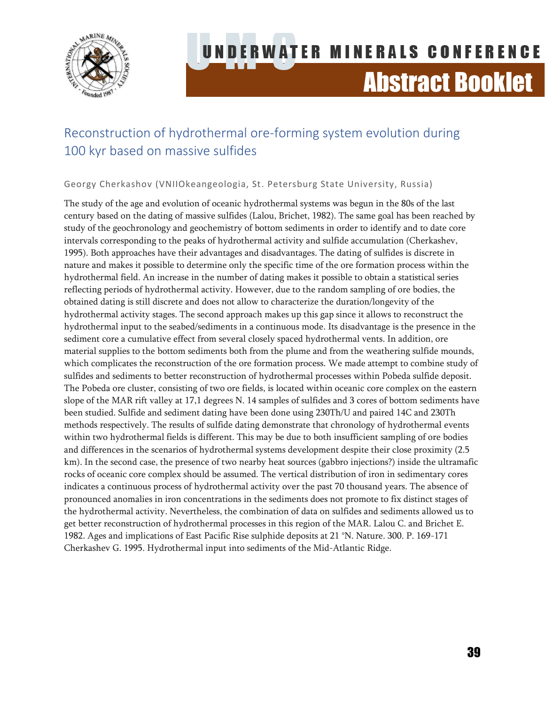

### <span id="page-39-0"></span>Reconstruction of hydrothermal ore-forming system evolution during 100 kyr based on massive sulfides

#### Georgy Cherkashov (VNIIOkeangeologia, St. Petersburg State University, Russia)

The study of the age and evolution of oceanic hydrothermal systems was begun in the 80s of the last century based on the dating of massive sulfides (Lalou, Brichet, 1982). The same goal has been reached by study of the geochronology and geochemistry of bottom sediments in order to identify and to date core intervals corresponding to the peaks of hydrothermal activity and sulfide accumulation (Cherkashev, 1995). Both approaches have their advantages and disadvantages. The dating of sulfides is discrete in nature and makes it possible to determine only the specific time of the ore formation process within the hydrothermal field. An increase in the number of dating makes it possible to obtain a statistical series reflecting periods of hydrothermal activity. However, due to the random sampling of ore bodies, the obtained dating is still discrete and does not allow to characterize the duration/longevity of the hydrothermal activity stages. The second approach makes up this gap since it allows to reconstruct the hydrothermal input to the seabed/sediments in a continuous mode. Its disadvantage is the presence in the sediment core a cumulative effect from several closely spaced hydrothermal vents. In addition, ore material supplies to the bottom sediments both from the plume and from the weathering sulfide mounds, which complicates the reconstruction of the ore formation process. We made attempt to combine study of sulfides and sediments to better reconstruction of hydrothermal processes within Pobeda sulfide deposit. The Pobeda ore cluster, consisting of two ore fields, is located within oceanic core complex on the eastern slope of the MAR rift valley at 17,1 degrees N. 14 samples of sulfides and 3 cores of bottom sediments have been studied. Sulfide and sediment dating have been done using 230Th/U and paired 14C and 230Th methods respectively. The results of sulfide dating demonstrate that chronology of hydrothermal events within two hydrothermal fields is different. This may be due to both insufficient sampling of ore bodies and differences in the scenarios of hydrothermal systems development despite their close proximity (2.5 km). In the second case, the presence of two nearby heat sources (gabbro injections?) inside the ultramafic rocks of oceanic core complex should be assumed. The vertical distribution of iron in sedimentary cores indicates a continuous process of hydrothermal activity over the past 70 thousand years. The absence of pronounced anomalies in iron concentrations in the sediments does not promote to fix distinct stages of the hydrothermal activity. Nevertheless, the combination of data on sulfides and sediments allowed us to get better reconstruction of hydrothermal processes in this region of the MAR. Lalou C. and Brichet E. 1982. Ages and implications of East Pacific Rise sulphide deposits at 21 °N. Nature. 300. P. 169-171 Cherkashev G. 1995. Hydrothermal input into sediments of the Mid-Atlantic Ridge.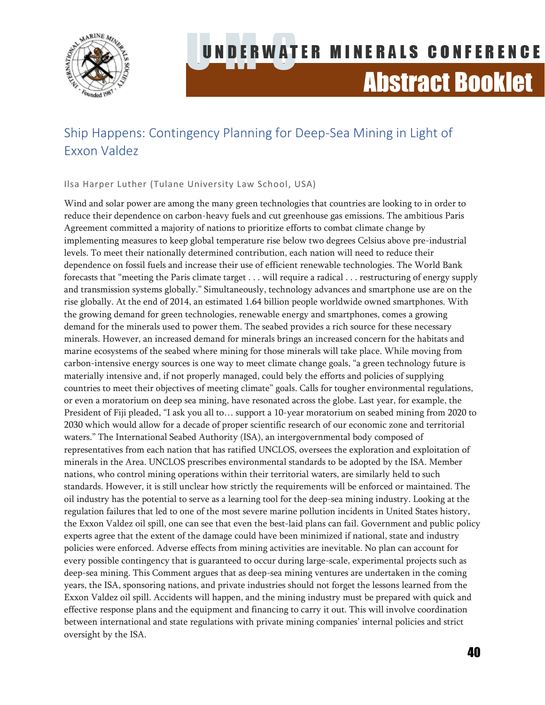

### <span id="page-40-0"></span>Ship Happens: Contingency Planning for Deep-Sea Mining in Light of Exxon Valdez

#### Ilsa Harper Luther (Tulane University Law School, USA)

Wind and solar power are among the many green technologies that countries are looking to in order to reduce their dependence on carbon-heavy fuels and cut greenhouse gas emissions. The ambitious Paris Agreement committed a majority of nations to prioritize efforts to combat climate change by implementing measures to keep global temperature rise below two degrees Celsius above pre-industrial levels. To meet their nationally determined contribution, each nation will need to reduce their dependence on fossil fuels and increase their use of efficient renewable technologies. The World Bank forecasts that "meeting the Paris climate target . . . will require a radical . . . restructuring of energy supply and transmission systems globally." Simultaneously, technology advances and smartphone use are on the rise globally. At the end of 2014, an estimated 1.64 billion people worldwide owned smartphones. With the growing demand for green technologies, renewable energy and smartphones, comes a growing demand for the minerals used to power them. The seabed provides a rich source for these necessary minerals. However, an increased demand for minerals brings an increased concern for the habitats and marine ecosystems of the seabed where mining for those minerals will take place. While moving from carbon-intensive energy sources is one way to meet climate change goals, "a green technology future is materially intensive and, if not properly managed, could bely the efforts and policies of supplying countries to meet their objectives of meeting climate" goals. Calls for tougher environmental regulations, or even a moratorium on deep sea mining, have resonated across the globe. Last year, for example, the President of Fiji pleaded, "I ask you all to… support a 10-year moratorium on seabed mining from 2020 to 2030 which would allow for a decade of proper scientific research of our economic zone and territorial waters." The International Seabed Authority (ISA), an intergovernmental body composed of representatives from each nation that has ratified UNCLOS, oversees the exploration and exploitation of minerals in the Area. UNCLOS prescribes environmental standards to be adopted by the ISA. Member nations, who control mining operations within their territorial waters, are similarly held to such standards. However, it is still unclear how strictly the requirements will be enforced or maintained. The oil industry has the potential to serve as a learning tool for the deep-sea mining industry. Looking at the regulation failures that led to one of the most severe marine pollution incidents in United States history, the Exxon Valdez oil spill, one can see that even the best-laid plans can fail. Government and public policy experts agree that the extent of the damage could have been minimized if national, state and industry policies were enforced. Adverse effects from mining activities are inevitable. No plan can account for every possible contingency that is guaranteed to occur during large-scale, experimental projects such as deep-sea mining. This Comment argues that as deep-sea mining ventures are undertaken in the coming years, the ISA, sponsoring nations, and private industries should not forget the lessons learned from the Exxon Valdez oil spill. Accidents will happen, and the mining industry must be prepared with quick and effective response plans and the equipment and financing to carry it out. This will involve coordination between international and state regulations with private mining companies' internal policies and strict oversight by the ISA.